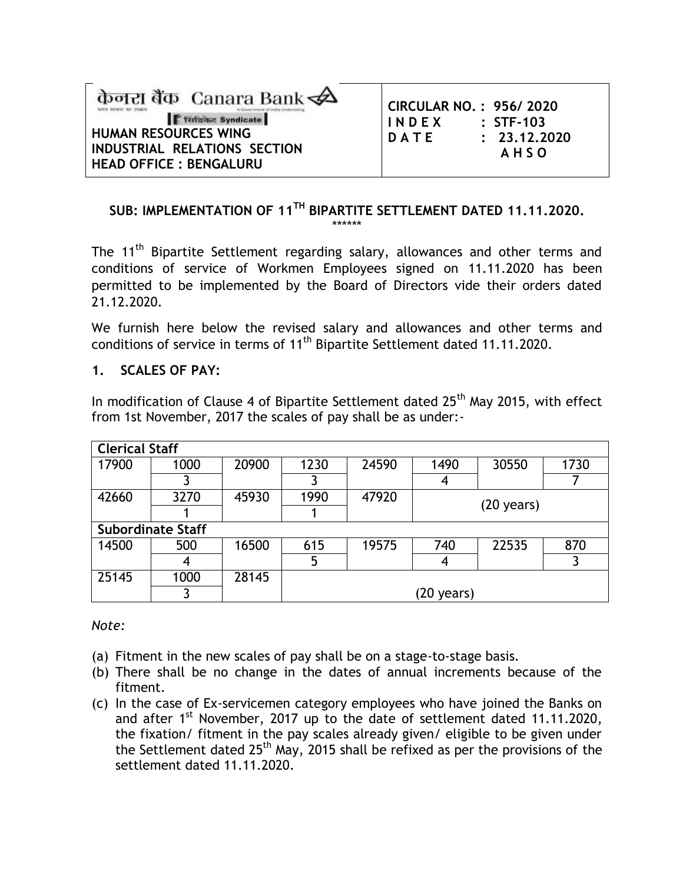| केनरा बैंक Canara Bank<br><b>Fifter Syndicate</b><br><b>HUMAN RESOURCES WING</b><br>INDUSTRIAL RELATIONS SECTION | <b>CIRCULAR NO.: 956/2020</b><br>INDEX<br>DATE | $\therefore$ STF-103<br>: 23.12.202<br><b>AHSO</b> |
|------------------------------------------------------------------------------------------------------------------|------------------------------------------------|----------------------------------------------------|
| <b>HEAD OFFICE: BENGALURU</b>                                                                                    |                                                |                                                    |

## **SUB: IMPLEMENTATION OF 11 TH BIPARTITE SETTLEMENT DATED 11.11.2020.** \*\*\*\*\*\*

**STF-103 D A T E : 23.12.2020 A H S O**

The 11<sup>th</sup> Bipartite Settlement regarding salary, allowances and other terms and conditions of service of Workmen Employees signed on 11.11.2020 has been permitted to be implemented by the Board of Directors vide their orders dated 21.12.2020.

We furnish here below the revised salary and allowances and other terms and conditions of service in terms of 11<sup>th</sup> Bipartite Settlement dated 11.11.2020.

#### **1. SCALES OF PAY:**

In modification of Clause 4 of Bipartite Settlement dated 25<sup>th</sup> May 2015, with effect from 1st November, 2017 the scales of pay shall be as under:-

| <b>Clerical Staff</b> |                          |       |      |       |                      |                      |      |  |
|-----------------------|--------------------------|-------|------|-------|----------------------|----------------------|------|--|
| 17900                 | 1000                     | 20900 | 1230 | 24590 | 1490                 | 30550                | 1730 |  |
|                       |                          |       |      |       |                      |                      |      |  |
| 42660                 | 3270                     | 45930 | 1990 | 47920 |                      |                      |      |  |
|                       |                          |       |      |       |                      | $(20 \text{ years})$ |      |  |
|                       | <b>Subordinate Staff</b> |       |      |       |                      |                      |      |  |
| 14500                 | 500                      | 16500 | 615  | 19575 | 740                  | 22535                | 870  |  |
|                       | 4                        |       | 5    |       |                      |                      |      |  |
| 25145                 | 1000                     | 28145 |      |       |                      |                      |      |  |
|                       |                          |       |      |       | $(20 \text{ years})$ |                      |      |  |

#### *Note:*

- (a) Fitment in the new scales of pay shall be on a stage-to-stage basis.
- (b) There shall be no change in the dates of annual increments because of the fitment.
- (c) In the case of Ex-servicemen category employees who have joined the Banks on and after  $1<sup>st</sup>$  November, 2017 up to the date of settlement dated 11.11.2020, the fixation/ fitment in the pay scales already given/ eligible to be given under the Settlement dated 25<sup>th</sup> May, 2015 shall be refixed as per the provisions of the settlement dated 11.11.2020.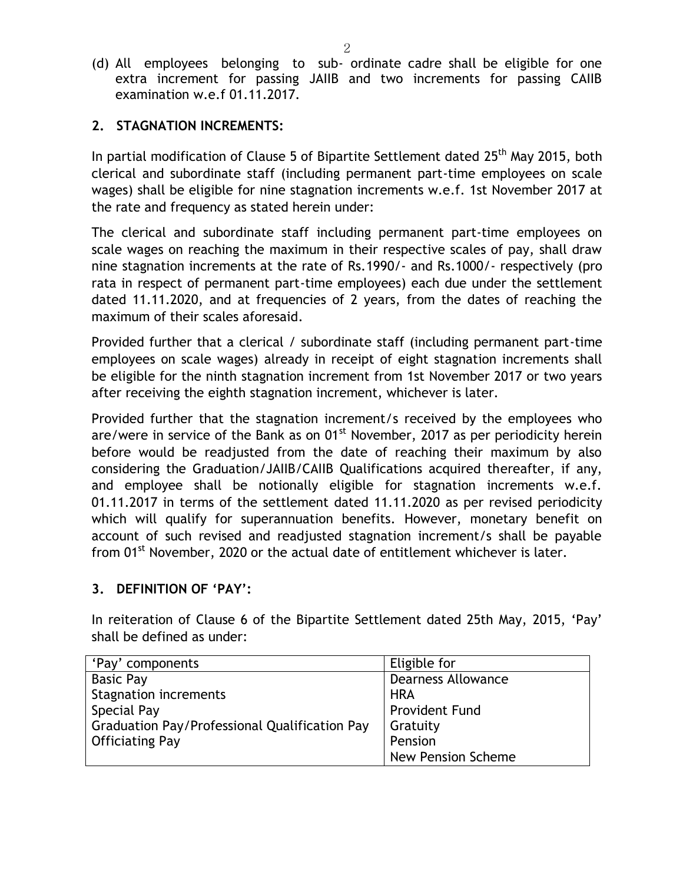(d) All employees belonging to sub- ordinate cadre shall be eligible for one extra increment for passing JAIIB and two increments for passing CAIIB examination w.e.f 01.11.2017.

## **2. STAGNATION INCREMENTS:**

In partial modification of Clause 5 of Bipartite Settlement dated 25<sup>th</sup> May 2015, both clerical and subordinate staff (including permanent part-time employees on scale wages) shall be eligible for nine stagnation increments w.e.f. 1st November 2017 at the rate and frequency as stated herein under:

The clerical and subordinate staff including permanent part-time employees on scale wages on reaching the maximum in their respective scales of pay, shall draw nine stagnation increments at the rate of Rs.1990/- and Rs.1000/- respectively (pro rata in respect of permanent part-time employees) each due under the settlement dated 11.11.2020, and at frequencies of 2 years, from the dates of reaching the maximum of their scales aforesaid.

Provided further that a clerical / subordinate staff (including permanent part-time employees on scale wages) already in receipt of eight stagnation increments shall be eligible for the ninth stagnation increment from 1st November 2017 or two years after receiving the eighth stagnation increment, whichever is later.

Provided further that the stagnation increment/s received by the employees who are/were in service of the Bank as on  $01<sup>st</sup>$  November, 2017 as per periodicity herein before would be readjusted from the date of reaching their maximum by also considering the Graduation/JAIIB/CAIIB Qualifications acquired thereafter, if any, and employee shall be notionally eligible for stagnation increments w.e.f. 01.11.2017 in terms of the settlement dated 11.11.2020 as per revised periodicity which will qualify for superannuation benefits. However, monetary benefit on account of such revised and readjusted stagnation increment/s shall be payable from  $01<sup>st</sup>$  November, 2020 or the actual date of entitlement whichever is later.

#### **3. DEFINITION OF 'PAY':**

In reiteration of Clause 6 of the Bipartite Settlement dated 25th May, 2015, 'Pay' shall be defined as under:

| 'Pay' components                              | Eligible for              |
|-----------------------------------------------|---------------------------|
| <b>Basic Pay</b>                              | <b>Dearness Allowance</b> |
| <b>Stagnation increments</b>                  | <b>HRA</b>                |
| Special Pay                                   | <b>Provident Fund</b>     |
| Graduation Pay/Professional Qualification Pay | Gratuity                  |
| <b>Officiating Pay</b>                        | Pension                   |
|                                               | <b>New Pension Scheme</b> |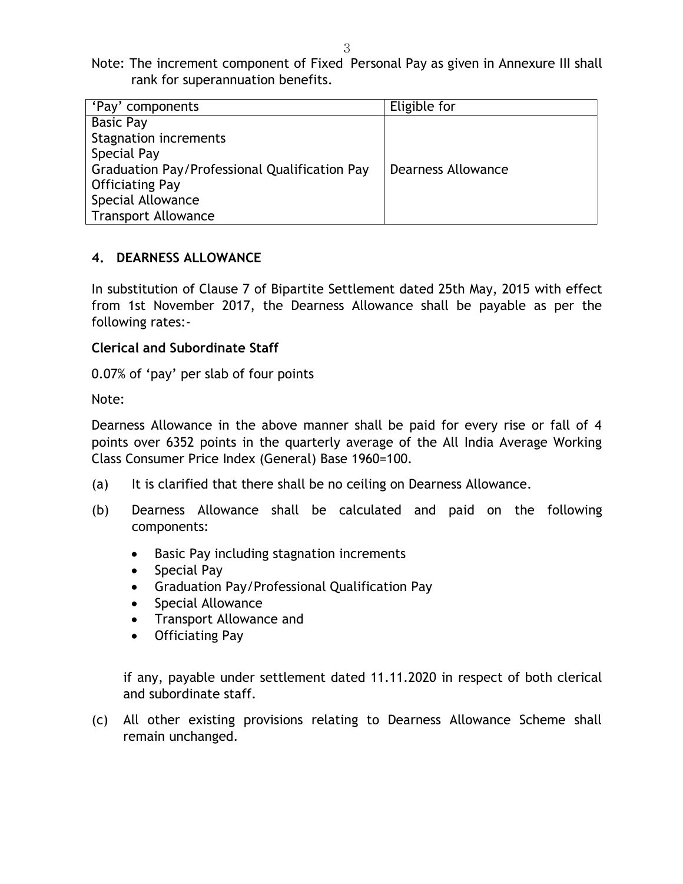Note: The increment component of Fixed Personal Pay as given in Annexure III shall rank for superannuation benefits.

| 'Pay' components                              | Eligible for       |
|-----------------------------------------------|--------------------|
| <b>Basic Pay</b>                              |                    |
| <b>Stagnation increments</b>                  |                    |
| Special Pay                                   |                    |
| Graduation Pay/Professional Qualification Pay | Dearness Allowance |
| <b>Officiating Pay</b>                        |                    |
| Special Allowance                             |                    |
| <b>Transport Allowance</b>                    |                    |

# **4. DEARNESS ALLOWANCE**

In substitution of Clause 7 of Bipartite Settlement dated 25th May, 2015 with effect from 1st November 2017, the Dearness Allowance shall be payable as per the following rates:-

# **Clerical and Subordinate Staff**

0.07% of 'pay' per slab of four points

Note:

Dearness Allowance in the above manner shall be paid for every rise or fall of 4 points over 6352 points in the quarterly average of the All India Average Working Class Consumer Price Index (General) Base 1960=100.

- (a) It is clarified that there shall be no ceiling on Dearness Allowance.
- (b) Dearness Allowance shall be calculated and paid on the following components:
	- Basic Pay including stagnation increments
	- Special Pay
	- Graduation Pay/Professional Qualification Pay
	- Special Allowance
	- Transport Allowance and
	- Officiating Pay

if any, payable under settlement dated 11.11.2020 in respect of both clerical and subordinate staff.

(c) All other existing provisions relating to Dearness Allowance Scheme shall remain unchanged.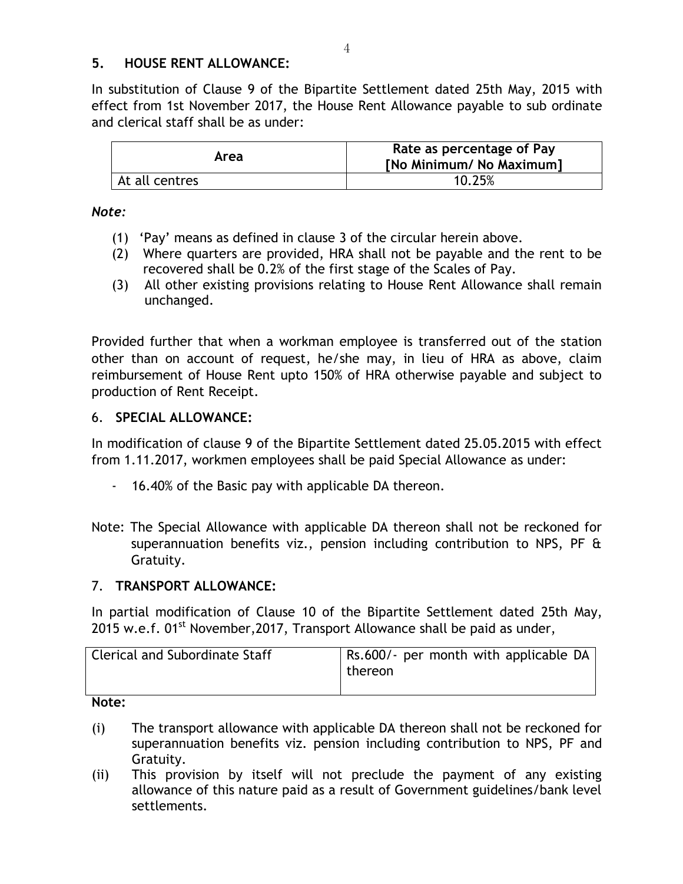## **5. HOUSE RENT ALLOWANCE:**

In substitution of Clause 9 of the Bipartite Settlement dated 25th May, 2015 with effect from 1st November 2017, the House Rent Allowance payable to sub ordinate and clerical staff shall be as under:

| Area           | Rate as percentage of Pay<br>[No Minimum/ No Maximum] |
|----------------|-------------------------------------------------------|
| At all centres | 10.25%                                                |

#### *Note:*

- (1) 'Pay' means as defined in clause 3 of the circular herein above.
- (2) Where quarters are provided, HRA shall not be payable and the rent to be recovered shall be 0.2% of the first stage of the Scales of Pay.
- (3) All other existing provisions relating to House Rent Allowance shall remain unchanged.

Provided further that when a workman employee is transferred out of the station other than on account of request, he/she may, in lieu of HRA as above, claim reimbursement of House Rent upto 150% of HRA otherwise payable and subject to production of Rent Receipt.

#### 6. **SPECIAL ALLOWANCE:**

In modification of clause 9 of the Bipartite Settlement dated 25.05.2015 with effect from 1.11.2017, workmen employees shall be paid Special Allowance as under:

- 16.40% of the Basic pay with applicable DA thereon.
- Note: The Special Allowance with applicable DA thereon shall not be reckoned for superannuation benefits viz., pension including contribution to NPS, PF & Gratuity.

#### 7. **TRANSPORT ALLOWANCE:**

In partial modification of Clause 10 of the Bipartite Settlement dated 25th May, 2015 w.e.f.  $01^{st}$  November, 2017, Transport Allowance shall be paid as under,

| <b>Clerical and Subordinate Staff</b> | Rs.600/- per month with applicable DA<br>thereon |
|---------------------------------------|--------------------------------------------------|
| .                                     |                                                  |

#### **Note:**

- (i) The transport allowance with applicable DA thereon shall not be reckoned for superannuation benefits viz. pension including contribution to NPS, PF and Gratuity.
- (ii) This provision by itself will not preclude the payment of any existing allowance of this nature paid as a result of Government guidelines/bank level settlements.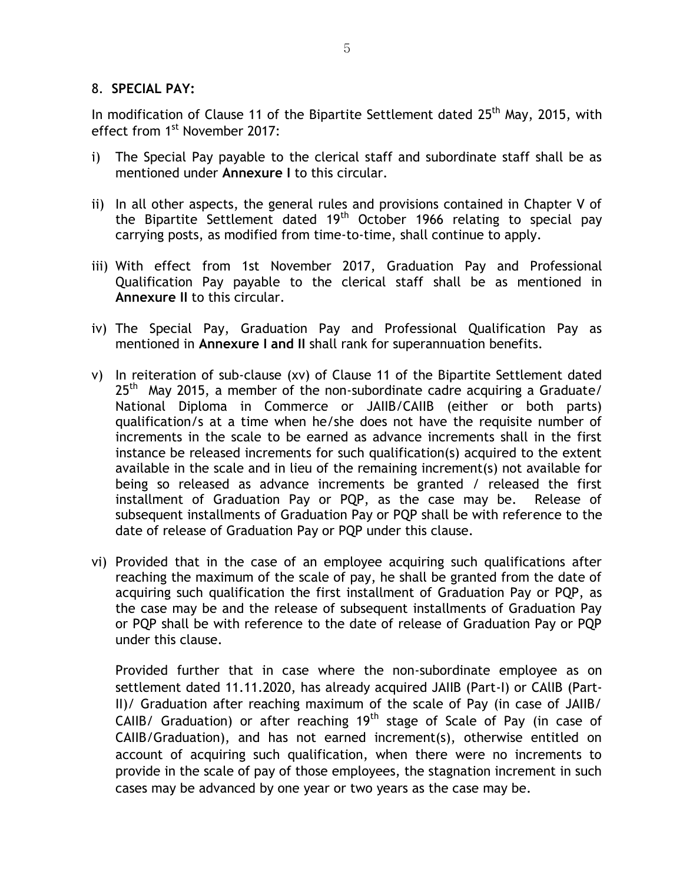#### 8. **SPECIAL PAY:**

In modification of Clause 11 of the Bipartite Settlement dated 25<sup>th</sup> May, 2015, with effect from 1<sup>st</sup> November 2017:

- i) The Special Pay payable to the clerical staff and subordinate staff shall be as mentioned under **Annexure I** to this circular.
- ii) In all other aspects, the general rules and provisions contained in Chapter V of the Bipartite Settlement dated 19<sup>th</sup> October 1966 relating to special pay carrying posts, as modified from time-to-time, shall continue to apply.
- iii) With effect from 1st November 2017, Graduation Pay and Professional Qualification Pay payable to the clerical staff shall be as mentioned in **Annexure II** to this circular.
- iv) The Special Pay, Graduation Pay and Professional Qualification Pay as mentioned in **Annexure I and II** shall rank for superannuation benefits.
- v) In reiteration of sub-clause (xv) of Clause 11 of the Bipartite Settlement dated  $25<sup>th</sup>$  May 2015, a member of the non-subordinate cadre acquiring a Graduate/ National Diploma in Commerce or JAIIB/CAIIB (either or both parts) qualification/s at a time when he/she does not have the requisite number of increments in the scale to be earned as advance increments shall in the first instance be released increments for such qualification(s) acquired to the extent available in the scale and in lieu of the remaining increment(s) not available for being so released as advance increments be granted / released the first installment of Graduation Pay or PQP, as the case may be. Release of subsequent installments of Graduation Pay or PQP shall be with reference to the date of release of Graduation Pay or PQP under this clause.
- vi) Provided that in the case of an employee acquiring such qualifications after reaching the maximum of the scale of pay, he shall be granted from the date of acquiring such qualification the first installment of Graduation Pay or PQP, as the case may be and the release of subsequent installments of Graduation Pay or PQP shall be with reference to the date of release of Graduation Pay or PQP under this clause.

Provided further that in case where the non-subordinate employee as on settlement dated 11.11.2020, has already acquired JAIIB (Part-I) or CAlIB (Part-II)/ Graduation after reaching maximum of the scale of Pay (in case of JAIIB/ CAIIB/ Graduation) or after reaching  $19<sup>th</sup>$  stage of Scale of Pay (in case of CAIIB/Graduation), and has not earned increment(s), otherwise entitled on account of acquiring such qualification, when there were no increments to provide in the scale of pay of those employees, the stagnation increment in such cases may be advanced by one year or two years as the case may be.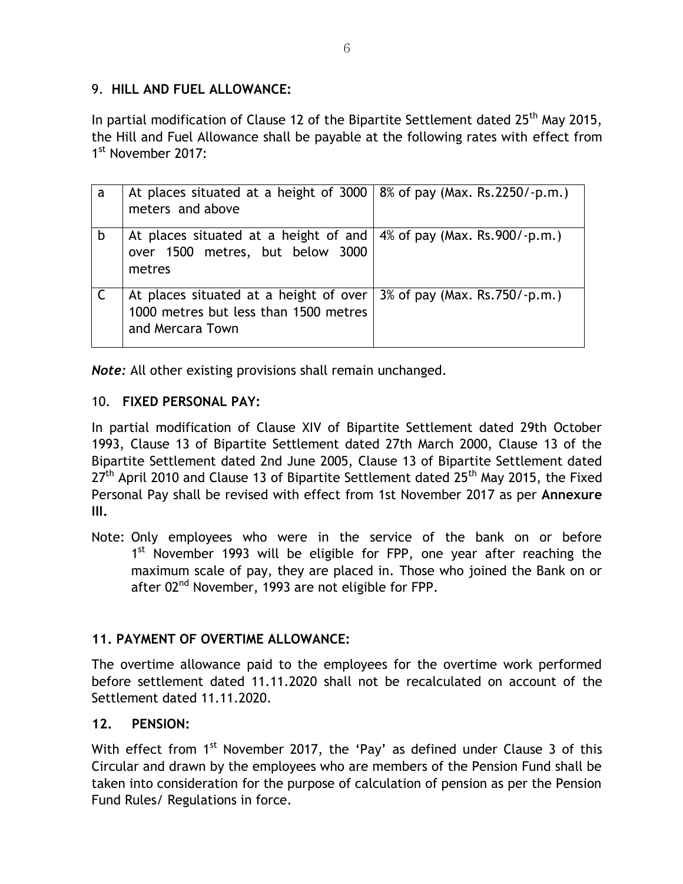## 9. **HILL AND FUEL ALLOWANCE:**

In partial modification of Clause 12 of the Bipartite Settlement dated  $25<sup>th</sup>$  May 2015, the Hill and Fuel Allowance shall be payable at the following rates with effect from 1st November 2017:

| a | At places situated at a height of 3000   8% of pay (Max. Rs.2250/-p.m.)<br>meters and above         |                                |
|---|-----------------------------------------------------------------------------------------------------|--------------------------------|
| b | At places situated at a height of and<br>over 1500 metres, but below 3000<br>metres                 | 4% of pay (Max. Rs. 900/-p.m.) |
|   | At places situated at a height of over<br>1000 metres but less than 1500 metres<br>and Mercara Town | 3% of pay (Max. Rs. 750/-p.m.) |

*Note:* All other existing provisions shall remain unchanged.

## 10. **FIXED PERSONAL PAY:**

In partial modification of Clause XIV of Bipartite Settlement dated 29th October 1993, Clause 13 of Bipartite Settlement dated 27th March 2000, Clause 13 of the Bipartite Settlement dated 2nd June 2005, Clause 13 of Bipartite Settlement dated  $27<sup>th</sup>$  April 2010 and Clause 13 of Bipartite Settlement dated  $25<sup>th</sup>$  May 2015, the Fixed Personal Pay shall be revised with effect from 1st November 2017 as per **Annexure III.**

Note: Only employees who were in the service of the bank on or before 1<sup>st</sup> November 1993 will be eligible for FPP, one year after reaching the maximum scale of pay, they are placed in. Those who joined the Bank on or after 02<sup>nd</sup> November, 1993 are not eligible for FPP.

# **11. PAYMENT OF OVERTIME ALLOWANCE:**

The overtime allowance paid to the employees for the overtime work performed before settlement dated 11.11.2020 shall not be recalculated on account of the Settlement dated 11.11.2020.

# **12. PENSION:**

With effect from  $1<sup>st</sup>$  November 2017, the 'Pay' as defined under Clause 3 of this Circular and drawn by the employees who are members of the Pension Fund shall be taken into consideration for the purpose of calculation of pension as per the Pension Fund Rules/ Regulations in force.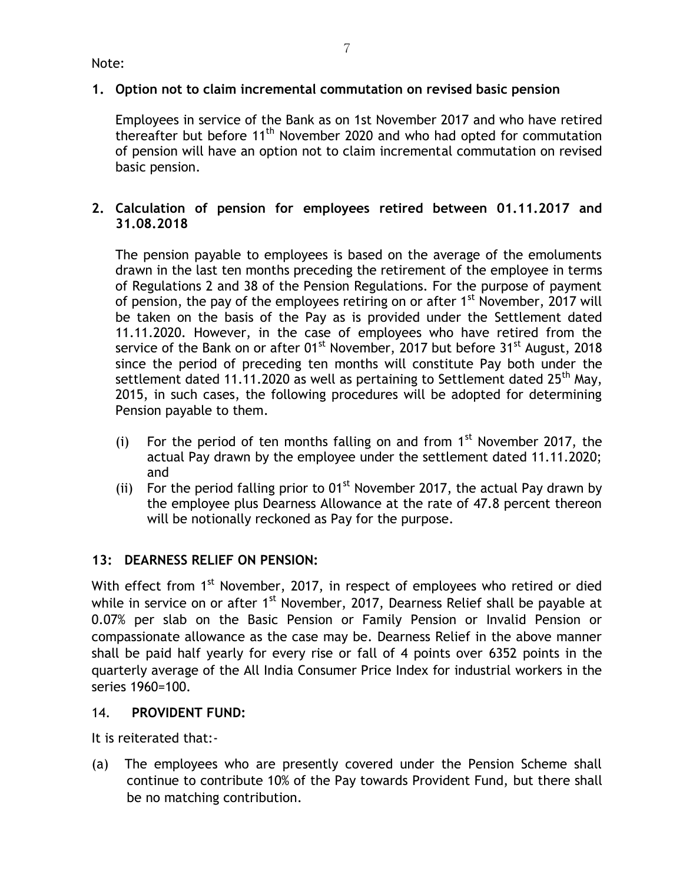# **1. Option not to claim incremental commutation on revised basic pension**

Employees in service of the Bank as on 1st November 2017 and who have retired thereafter but before 11<sup>th</sup> November 2020 and who had opted for commutation of pension will have an option not to claim incremental commutation on revised basic pension.

# **2. Calculation of pension for employees retired between 01.11.2017 and 31.08.2018**

The pension payable to employees is based on the average of the emoluments drawn in the last ten months preceding the retirement of the employee in terms of Regulations 2 and 38 of the Pension Regulations. For the purpose of payment of pension, the pay of the employees retiring on or after 1<sup>st</sup> November, 2017 will be taken on the basis of the Pay as is provided under the Settlement dated 11.11.2020. However, in the case of employees who have retired from the service of the Bank on or after 01<sup>st</sup> November, 2017 but before 31<sup>st</sup> August, 2018 since the period of preceding ten months will constitute Pay both under the settlement dated 11.11.2020 as well as pertaining to Settlement dated  $25<sup>th</sup>$  May, 2015, in such cases, the following procedures will be adopted for determining Pension payable to them.

- (i) For the period of ten months falling on and from  $1<sup>st</sup>$  November 2017, the actual Pay drawn by the employee under the settlement dated 11.11.2020; and
- (ii) For the period falling prior to  $01^{st}$  November 2017, the actual Pay drawn by the employee plus Dearness Allowance at the rate of 47.8 percent thereon will be notionally reckoned as Pay for the purpose.

# **13: DEARNESS RELIEF ON PENSION:**

With effect from 1<sup>st</sup> November, 2017, in respect of employees who retired or died while in service on or after 1<sup>st</sup> November, 2017, Dearness Relief shall be payable at 0.07% per slab on the Basic Pension or Family Pension or Invalid Pension or compassionate allowance as the case may be. Dearness Relief in the above manner shall be paid half yearly for every rise or fall of 4 points over 6352 points in the quarterly average of the All India Consumer Price Index for industrial workers in the series 1960=100.

# 14. **PROVIDENT FUND:**

It is reiterated that:-

(a) The employees who are presently covered under the Pension Scheme shall continue to contribute 10% of the Pay towards Provident Fund, but there shall be no matching contribution.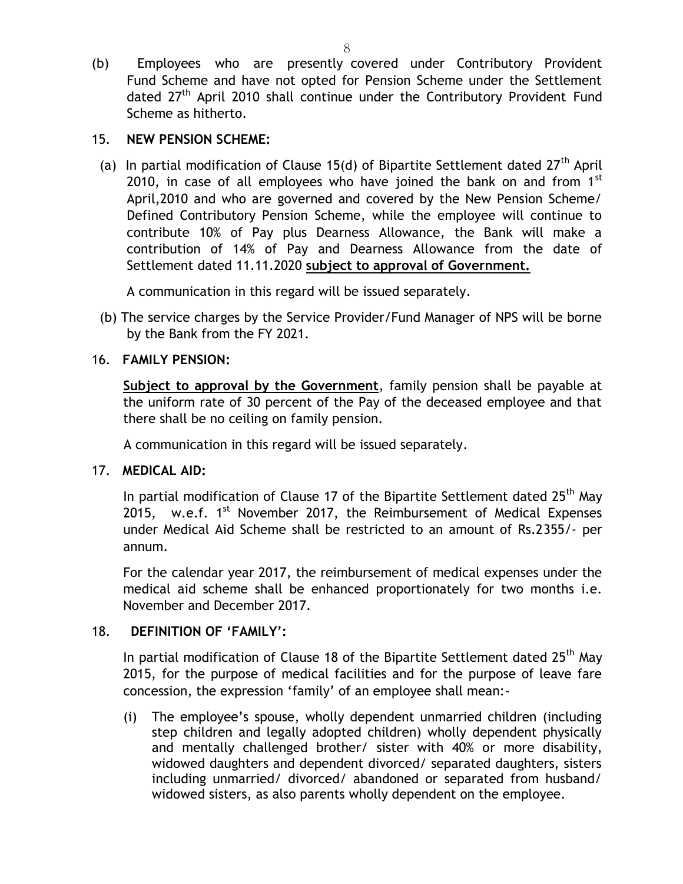(b) Employees who are presently covered under Contributory Provident Fund Scheme and have not opted for Pension Scheme under the Settlement dated 27<sup>th</sup> April 2010 shall continue under the Contributory Provident Fund Scheme as hitherto.

## 15. **NEW PENSION SCHEME:**

(a) In partial modification of Clause 15(d) of Bipartite Settlement dated  $27<sup>th</sup>$  April 2010, in case of all employees who have joined the bank on and from  $1<sup>st</sup>$ April,2010 and who are governed and covered by the New Pension Scheme/ Defined Contributory Pension Scheme, while the employee will continue to contribute 10% of Pay plus Dearness Allowance, the Bank will make a contribution of 14% of Pay and Dearness Allowance from the date of Settlement dated 11.11.2020 **subject to approval of Government.**

A communication in this regard will be issued separately.

(b) The service charges by the Service Provider/Fund Manager of NPS will be borne by the Bank from the FY 2021.

# 16. **FAMILY PENSION:**

**Subject to approval by the Government**, family pension shall be payable at the uniform rate of 30 percent of the Pay of the deceased employee and that there shall be no ceiling on family pension.

A communication in this regard will be issued separately.

# 17. **MEDICAL AID:**

In partial modification of Clause 17 of the Bipartite Settlement dated  $25<sup>th</sup>$  May 2015, w.e.f.  $1^{st}$  November 2017, the Reimbursement of Medical Expenses under Medical Aid Scheme shall be restricted to an amount of Rs.2355/- per annum.

For the calendar year 2017, the reimbursement of medical expenses under the medical aid scheme shall be enhanced proportionately for two months i.e. November and December 2017.

# 18. **DEFINITION OF 'FAMILY':**

In partial modification of Clause 18 of the Bipartite Settlement dated  $25<sup>th</sup>$  May 2015, for the purpose of medical facilities and for the purpose of leave fare concession, the expression 'family' of an employee shall mean:-

(i) The employee's spouse, wholly dependent unmarried children (including step children and legally adopted children) wholly dependent physically and mentally challenged brother/ sister with 40% or more disability, widowed daughters and dependent divorced/ separated daughters, sisters including unmarried/ divorced/ abandoned or separated from husband/ widowed sisters, as also parents wholly dependent on the employee.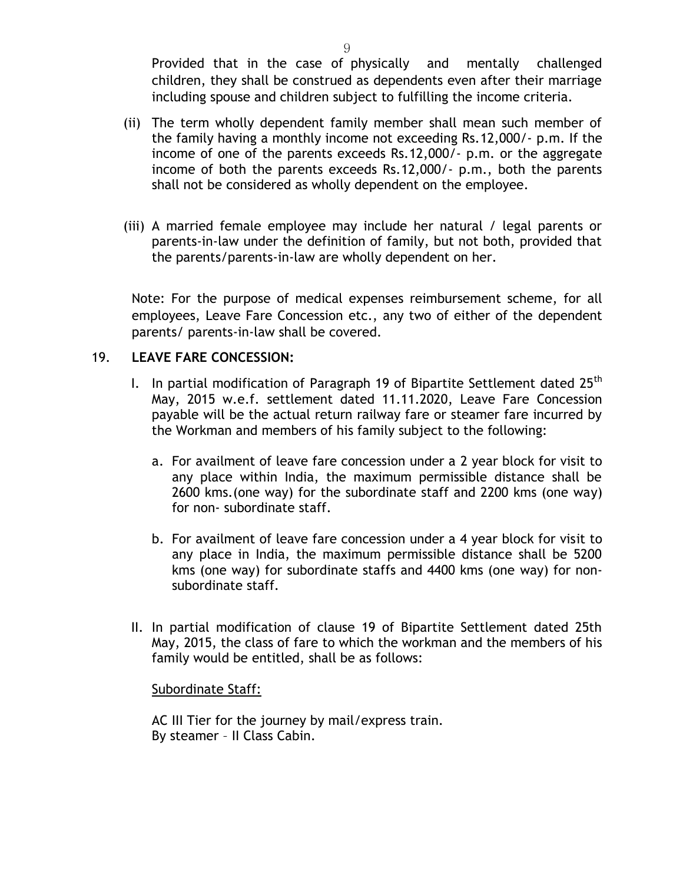Provided that in the case of physically and mentally challenged children, they shall be construed as dependents even after their marriage including spouse and children subject to fulfilling the income criteria.

- (ii) The term wholly dependent family member shall mean such member of the family having a monthly income not exceeding Rs.12,000/- p.m. If the income of one of the parents exceeds Rs.12,000/- p.m. or the aggregate income of both the parents exceeds Rs.12,000/- p.m., both the parents shall not be considered as wholly dependent on the employee.
- (iii) A married female employee may include her natural / legal parents or parents-in-law under the definition of family, but not both, provided that the parents/parents-in-law are wholly dependent on her.

Note: For the purpose of medical expenses reimbursement scheme, for all employees, Leave Fare Concession etc., any two of either of the dependent parents/ parents-in-law shall be covered.

#### 19. **LEAVE FARE CONCESSION:**

- I. In partial modification of Paragraph 19 of Bipartite Settlement dated  $25<sup>th</sup>$ May, 2015 w.e.f. settlement dated 11.11.2020, Leave Fare Concession payable will be the actual return railway fare or steamer fare incurred by the Workman and members of his family subject to the following:
	- a. For availment of leave fare concession under a 2 year block for visit to any place within India, the maximum permissible distance shall be 2600 kms.(one way) for the subordinate staff and 2200 kms (one way) for non- subordinate staff.
	- b. For availment of leave fare concession under a 4 year block for visit to any place in India, the maximum permissible distance shall be 5200 kms (one way) for subordinate staffs and 4400 kms (one way) for nonsubordinate staff.
- II. In partial modification of clause 19 of Bipartite Settlement dated 25th May, 2015, the class of fare to which the workman and the members of his family would be entitled, shall be as follows:

#### Subordinate Staff:

AC III Tier for the journey by mail/express train. By steamer – II Class Cabin.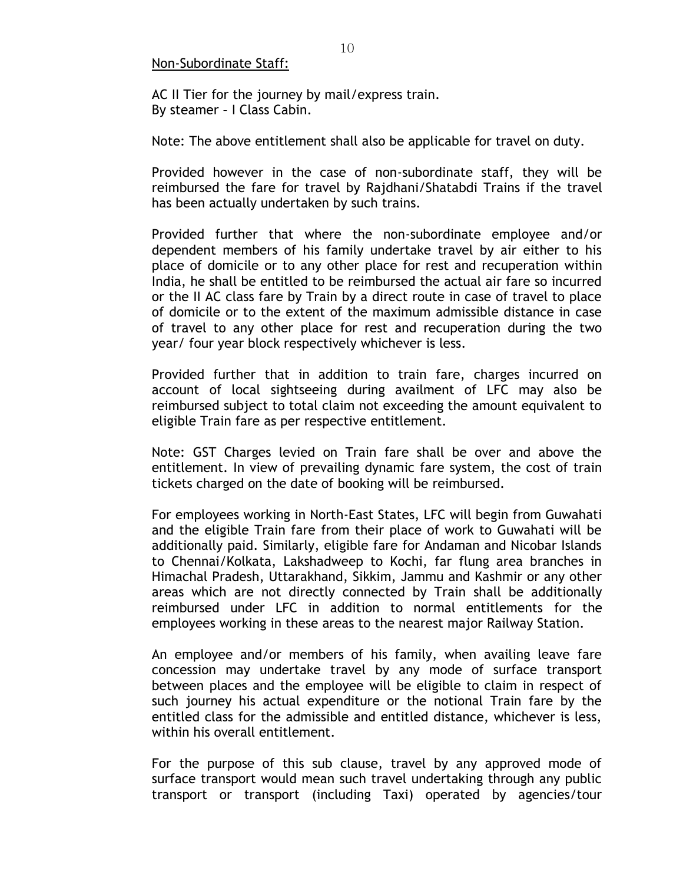#### Non-Subordinate Staff:

AC II Tier for the journey by mail/express train. By steamer – I Class Cabin.

Note: The above entitlement shall also be applicable for travel on duty.

Provided however in the case of non-subordinate staff, they will be reimbursed the fare for travel by Rajdhani/Shatabdi Trains if the travel has been actually undertaken by such trains.

Provided further that where the non-subordinate employee and/or dependent members of his family undertake travel by air either to his place of domicile or to any other place for rest and recuperation within India, he shall be entitled to be reimbursed the actual air fare so incurred or the II AC class fare by Train by a direct route in case of travel to place of domicile or to the extent of the maximum admissible distance in case of travel to any other place for rest and recuperation during the two year/ four year block respectively whichever is less.

Provided further that in addition to train fare, charges incurred on account of local sightseeing during availment of LFC may also be reimbursed subject to total claim not exceeding the amount equivalent to eligible Train fare as per respective entitlement.

Note: GST Charges levied on Train fare shall be over and above the entitlement. In view of prevailing dynamic fare system, the cost of train tickets charged on the date of booking will be reimbursed.

For employees working in North-East States, LFC will begin from Guwahati and the eligible Train fare from their place of work to Guwahati will be additionally paid. Similarly, eligible fare for Andaman and Nicobar Islands to Chennai/Kolkata, Lakshadweep to Kochi, far flung area branches in Himachal Pradesh, Uttarakhand, Sikkim, Jammu and Kashmir or any other areas which are not directly connected by Train shall be additionally reimbursed under LFC in addition to normal entitlements for the employees working in these areas to the nearest major Railway Station.

An employee and/or members of his family, when availing leave fare concession may undertake travel by any mode of surface transport between places and the employee will be eligible to claim in respect of such journey his actual expenditure or the notional Train fare by the entitled class for the admissible and entitled distance, whichever is less, within his overall entitlement.

For the purpose of this sub clause, travel by any approved mode of surface transport would mean such travel undertaking through any public transport or transport (including Taxi) operated by agencies/tour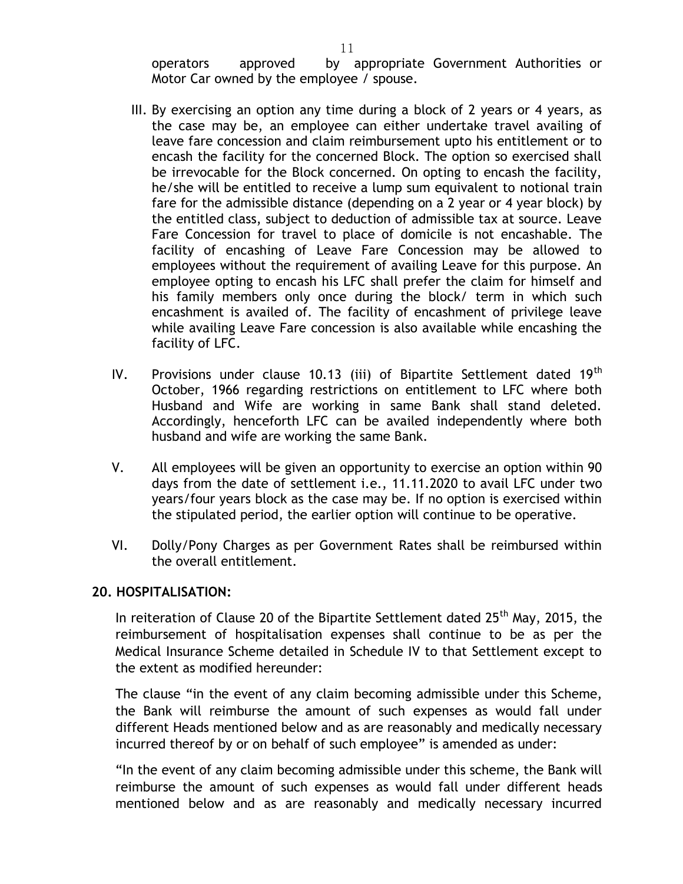operators approved by appropriate Government Authorities or Motor Car owned by the employee / spouse.

- III. By exercising an option any time during a block of 2 years or 4 years, as the case may be, an employee can either undertake travel availing of leave fare concession and claim reimbursement upto his entitlement or to encash the facility for the concerned Block. The option so exercised shall be irrevocable for the Block concerned. On opting to encash the facility, he/she will be entitled to receive a lump sum equivalent to notional train fare for the admissible distance (depending on a 2 year or 4 year block) by the entitled class, subject to deduction of admissible tax at source. Leave Fare Concession for travel to place of domicile is not encashable. The facility of encashing of Leave Fare Concession may be allowed to employees without the requirement of availing Leave for this purpose. An employee opting to encash his LFC shall prefer the claim for himself and his family members only once during the block/ term in which such encashment is availed of. The facility of encashment of privilege leave while availing Leave Fare concession is also available while encashing the facility of LFC.
- IV. Provisions under clause 10.13 (iii) of Bipartite Settlement dated  $19<sup>th</sup>$ October, 1966 regarding restrictions on entitlement to LFC where both Husband and Wife are working in same Bank shall stand deleted. Accordingly, henceforth LFC can be availed independently where both husband and wife are working the same Bank.
- V. All employees will be given an opportunity to exercise an option within 90 days from the date of settlement i.e., 11.11.2020 to avail LFC under two years/four years block as the case may be. If no option is exercised within the stipulated period, the earlier option will continue to be operative.
- VI. Dolly/Pony Charges as per Government Rates shall be reimbursed within the overall entitlement.

#### **20. HOSPITALISATION:**

In reiteration of Clause 20 of the Bipartite Settlement dated  $25<sup>th</sup>$  May, 2015, the reimbursement of hospitalisation expenses shall continue to be as per the Medical Insurance Scheme detailed in Schedule IV to that Settlement except to the extent as modified hereunder:

The clause "in the event of any claim becoming admissible under this Scheme, the Bank will reimburse the amount of such expenses as would fall under different Heads mentioned below and as are reasonably and medically necessary incurred thereof by or on behalf of such employee" is amended as under:

"In the event of any claim becoming admissible under this scheme, the Bank will reimburse the amount of such expenses as would fall under different heads mentioned below and as are reasonably and medically necessary incurred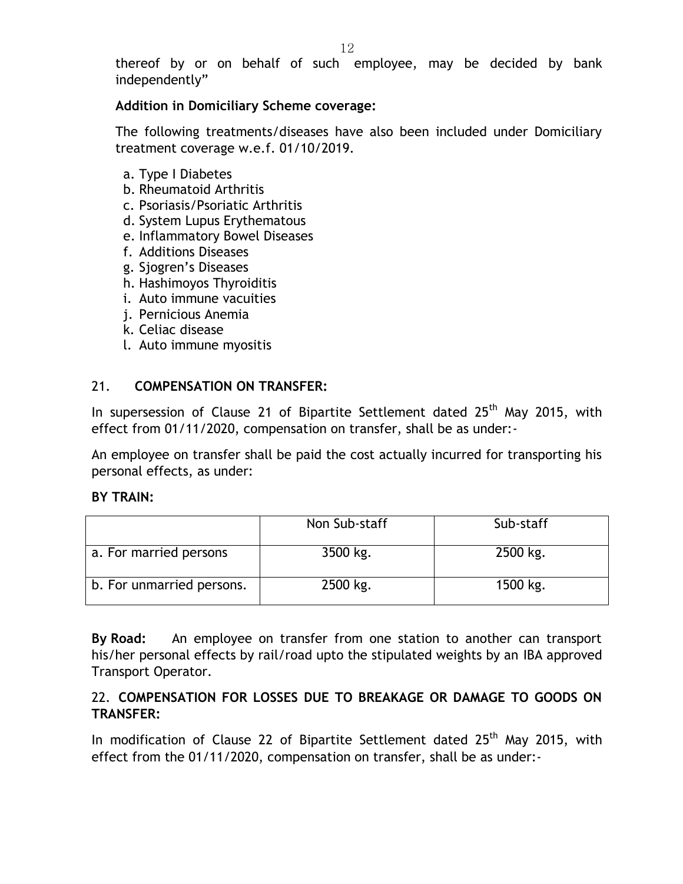thereof by or on behalf of such employee, may be decided by bank independently"

## **Addition in Domiciliary Scheme coverage:**

The following treatments/diseases have also been included under Domiciliary treatment coverage w.e.f. 01/10/2019.

- a. Type I Diabetes
- b. Rheumatoid Arthritis
- c. Psoriasis/Psoriatic Arthritis
- d. System Lupus Erythematous
- e. Inflammatory Bowel Diseases
- f. Additions Diseases
- g. Sjogren's Diseases
- h. Hashimoyos Thyroiditis
- i. Auto immune vacuities
- j. Pernicious Anemia
- k. Celiac disease
- l. Auto immune myositis

## 21. **COMPENSATION ON TRANSFER:**

In supersession of Clause 21 of Bipartite Settlement dated  $25<sup>th</sup>$  May 2015, with effect from 01/11/2020, compensation on transfer, shall be as under:-

An employee on transfer shall be paid the cost actually incurred for transporting his personal effects, as under:

#### **BY TRAIN:**

|                           | Non Sub-staff | Sub-staff |
|---------------------------|---------------|-----------|
| a. For married persons    | 3500 kg.      | 2500 kg.  |
| b. For unmarried persons. | 2500 kg.      | 1500 kg.  |

**By Road:** An employee on transfer from one station to another can transport his/her personal effects by rail/road upto the stipulated weights by an IBA approved Transport Operator.

# 22. **COMPENSATION FOR LOSSES DUE TO BREAKAGE OR DAMAGE TO GOODS ON TRANSFER:**

In modification of Clause 22 of Bipartite Settlement dated 25<sup>th</sup> May 2015, with effect from the 01/11/2020, compensation on transfer, shall be as under:-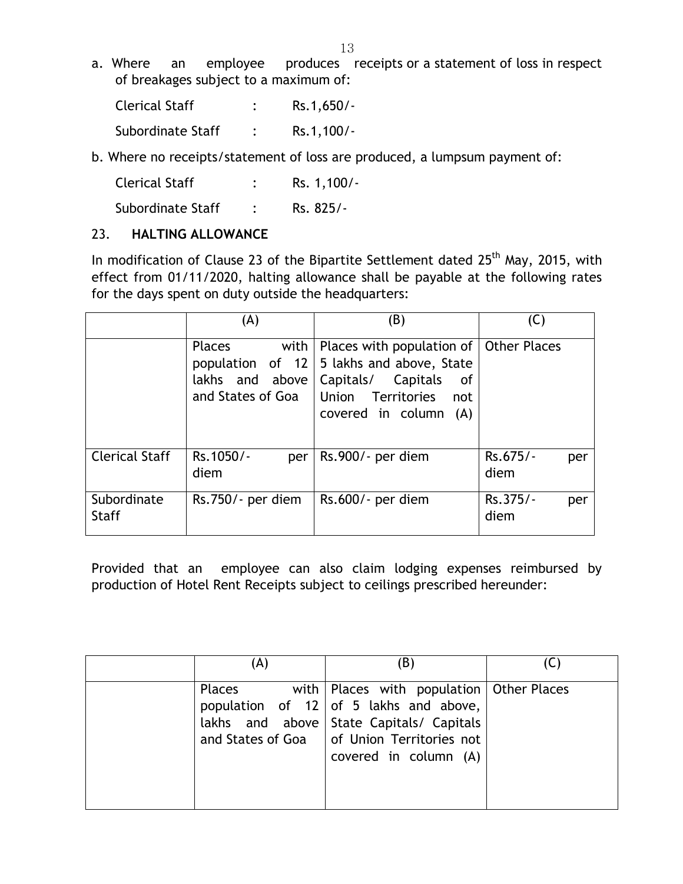a. Where an employee produces receipts or a statement of loss in respect of breakages subject to a maximum of:

| <b>Clerical Staff</b> | $Rs.1,650/-$ |
|-----------------------|--------------|
| Subordinate Staff     | $Rs.1,100/-$ |

b. Where no receipts/statement of loss are produced, a lumpsum payment of:

| Clerical Staff | Rs. 1,100/- |
|----------------|-------------|
|                |             |

Subordinate Staff : Rs. 825/-

## 23. **HALTING ALLOWANCE**

In modification of Clause 23 of the Bipartite Settlement dated 25<sup>th</sup> May, 2015, with effect from 01/11/2020, halting allowance shall be payable at the following rates for the days spent on duty outside the headquarters:

|                             | (A)                      | (B)                                                                                                                                                                                                     | (C)                     |
|-----------------------------|--------------------------|---------------------------------------------------------------------------------------------------------------------------------------------------------------------------------------------------------|-------------------------|
|                             | Places<br>with           | Places with population of<br>population of $12 \mid 5$ lakhs and above, State<br>lakhs and above   Capitals/ Capitals<br>0f<br>and States of Goa   Union Territories<br>not<br>covered in column<br>(A) | <b>Other Places</b>     |
| <b>Clerical Staff</b>       | Rs.1050/-<br>per<br>diem | Rs.900/- per diem                                                                                                                                                                                       | Rs.675/-<br>per<br>diem |
| Subordinate<br><b>Staff</b> | Rs.750/- per diem        | Rs.600/- per diem                                                                                                                                                                                       | Rs.375/-<br>per<br>diem |

Provided that an employee can also claim lodging expenses reimbursed by production of Hotel Rent Receipts subject to ceilings prescribed hereunder:

| A)     | (B)                                                                                                                                                                                                                 |  |
|--------|---------------------------------------------------------------------------------------------------------------------------------------------------------------------------------------------------------------------|--|
| Places | with   Places with population   Other Places<br>population of 12   of 5 lakhs and above,<br>lakhs and above State Capitals/ Capitals<br>and States of Goa $\vert$ of Union Territories not<br>covered in column (A) |  |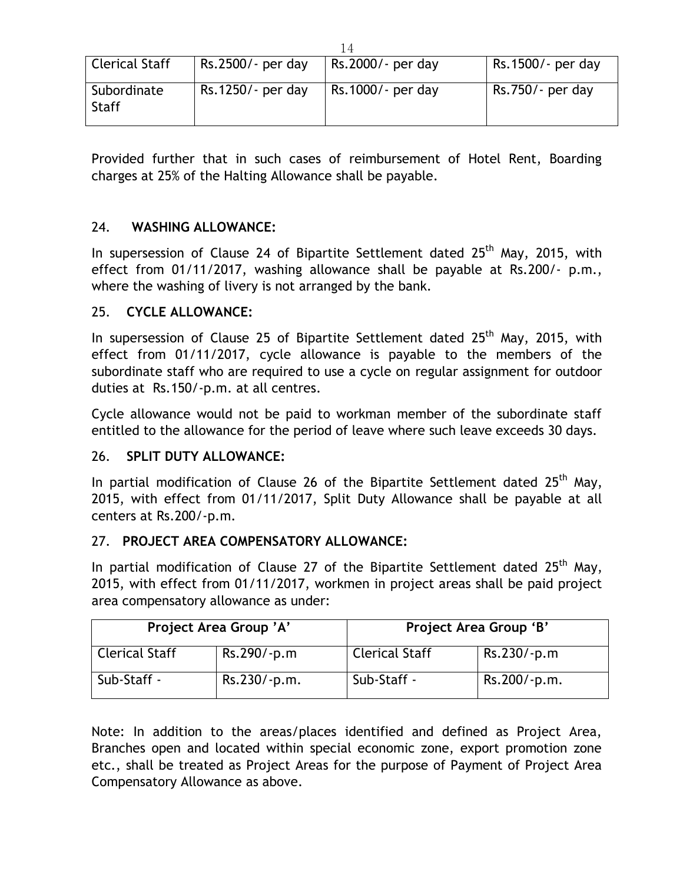| <b>Clerical Staff</b>       | Rs.2500/- per day | Rs.2000/- per day | Rs.1500/- per day |
|-----------------------------|-------------------|-------------------|-------------------|
| Subordinate<br><b>Staff</b> | Rs.1250/- per day | Rs.1000/- per day | Rs.750/- per day  |

Provided further that in such cases of reimbursement of Hotel Rent, Boarding charges at 25% of the Halting Allowance shall be payable.

# 24. **WASHING ALLOWANCE:**

In supersession of Clause 24 of Bipartite Settlement dated  $25<sup>th</sup>$  May, 2015, with effect from 01/11/2017, washing allowance shall be payable at Rs.200/- p.m., where the washing of livery is not arranged by the bank.

#### 25. **CYCLE ALLOWANCE:**

In supersession of Clause 25 of Bipartite Settlement dated 25<sup>th</sup> May, 2015, with effect from 01/11/2017, cycle allowance is payable to the members of the subordinate staff who are required to use a cycle on regular assignment for outdoor duties at Rs.150/-p.m. at all centres.

Cycle allowance would not be paid to workman member of the subordinate staff entitled to the allowance for the period of leave where such leave exceeds 30 days.

## 26. **SPLIT DUTY ALLOWANCE:**

In partial modification of Clause 26 of the Bipartite Settlement dated  $25<sup>th</sup>$  May, 2015, with effect from 01/11/2017, Split Duty Allowance shall be payable at all centers at Rs.200/-p.m.

#### 27. **PROJECT AREA COMPENSATORY ALLOWANCE:**

In partial modification of Clause 27 of the Bipartite Settlement dated  $25<sup>th</sup>$  May, 2015, with effect from 01/11/2017, workmen in project areas shall be paid project area compensatory allowance as under:

| Project Area Group 'A' |                | Project Area Group 'B' |               |
|------------------------|----------------|------------------------|---------------|
| <b>Clerical Staff</b>  | $Rs.290/-p.m$  | <b>Clerical Staff</b>  | $Rs.230/-p.m$ |
| Sub-Staff -            | $Rs.230/-p.m.$ | Sub-Staff -            | Rs.200/-p.m.  |

Note: In addition to the areas/places identified and defined as Project Area, Branches open and located within special economic zone, export promotion zone etc., shall be treated as Project Areas for the purpose of Payment of Project Area Compensatory Allowance as above.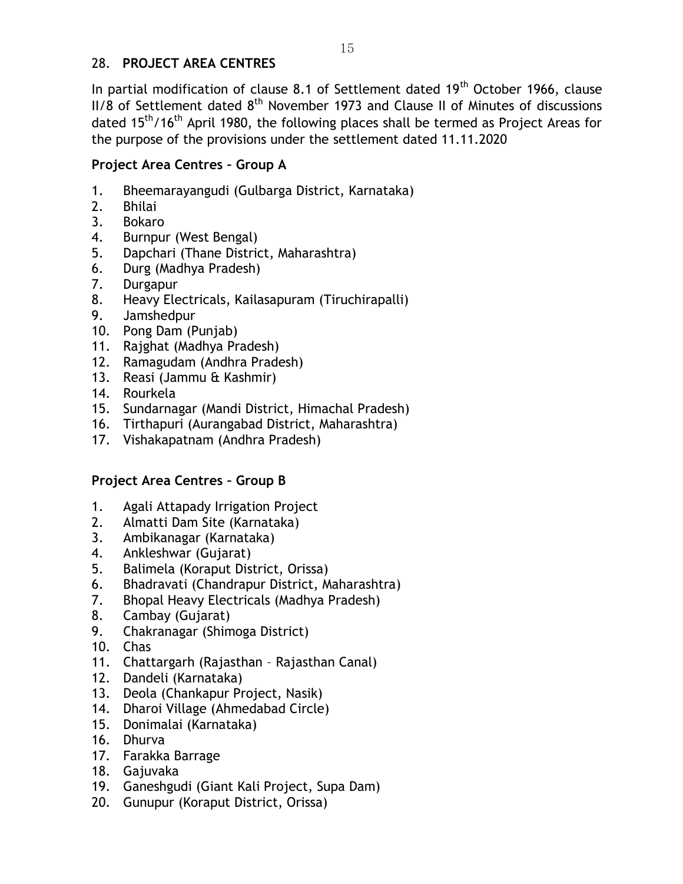# 28. **PROJECT AREA CENTRES**

In partial modification of clause 8.1 of Settlement dated 19<sup>th</sup> October 1966, clause  $II/8$  of Settlement dated  $8<sup>th</sup>$  November 1973 and Clause II of Minutes of discussions dated 15<sup>th</sup>/16<sup>th</sup> April 1980, the following places shall be termed as Project Areas for the purpose of the provisions under the settlement dated 11.11.2020

## **Project Area Centres – Group A**

- 1. Bheemarayangudi (Gulbarga District, Karnataka)
- 2. Bhilai
- 3. Bokaro
- 4. Burnpur (West Bengal)
- 5. Dapchari (Thane District, Maharashtra)
- 6. Durg (Madhya Pradesh)
- 7. Durgapur
- 8. Heavy Electricals, Kailasapuram (Tiruchirapalli)
- 9. Jamshedpur
- 10. Pong Dam (Punjab)
- 11. Rajghat (Madhya Pradesh)
- 12. Ramagudam (Andhra Pradesh)
- 13. Reasi (Jammu & Kashmir)
- 14. Rourkela
- 15. Sundarnagar (Mandi District, Himachal Pradesh)
- 16. Tirthapuri (Aurangabad District, Maharashtra)
- 17. Vishakapatnam (Andhra Pradesh)

# **Project Area Centres – Group B**

- 1. Agali Attapady Irrigation Project
- 2. Almatti Dam Site (Karnataka)
- 3. Ambikanagar (Karnataka)
- 4. Ankleshwar (Gujarat)
- 5. Balimela (Koraput District, Orissa)
- 6. Bhadravati (Chandrapur District, Maharashtra)
- 7. Bhopal Heavy Electricals (Madhya Pradesh)
- 8. Cambay (Gujarat)
- 9. Chakranagar (Shimoga District)
- 10. Chas
- 11. Chattargarh (Rajasthan Rajasthan Canal)
- 12. Dandeli (Karnataka)
- 13. Deola (Chankapur Project, Nasik)
- 14. Dharoi Village (Ahmedabad Circle)
- 15. Donimalai (Karnataka)
- 16. Dhurva
- 17. Farakka Barrage
- 18. Gajuvaka
- 19. Ganeshgudi (Giant Kali Project, Supa Dam)
- 20. Gunupur (Koraput District, Orissa)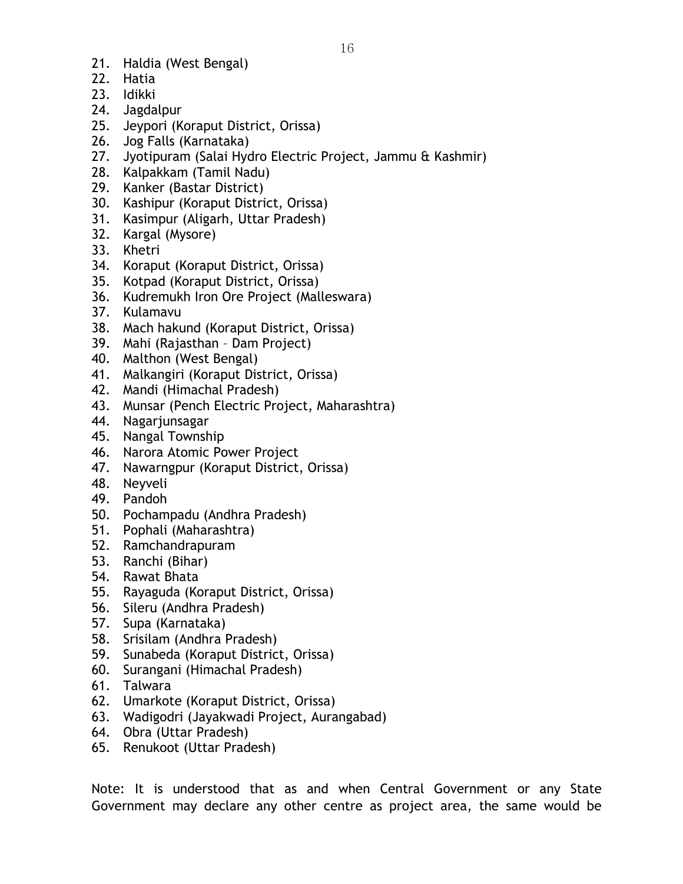- 21. Haldia (West Bengal)
- 22. Hatia
- 23. Idikki
- 24. Jagdalpur
- 25. Jeypori (Koraput District, Orissa)
- 26. Jog Falls (Karnataka)
- 27. Jyotipuram (Salai Hydro Electric Project, Jammu & Kashmir)
- 28. Kalpakkam (Tamil Nadu)
- 29. Kanker (Bastar District)
- 30. Kashipur (Koraput District, Orissa)
- 31. Kasimpur (Aligarh, Uttar Pradesh)
- 32. Kargal (Mysore)
- 33. Khetri
- 34. Koraput (Koraput District, Orissa)
- 35. Kotpad (Koraput District, Orissa)
- 36. Kudremukh Iron Ore Project (Malleswara)
- 37. Kulamavu
- 38. Mach hakund (Koraput District, Orissa)
- 39. Mahi (Rajasthan Dam Project)
- 40. Malthon (West Bengal)
- 41. Malkangiri (Koraput District, Orissa)
- 42. Mandi (Himachal Pradesh)
- 43. Munsar (Pench Electric Project, Maharashtra)
- 44. Nagarjunsagar
- 45. Nangal Township
- 46. Narora Atomic Power Project
- 47. Nawarngpur (Koraput District, Orissa)
- 48. Neyveli
- 49. Pandoh
- 50. Pochampadu (Andhra Pradesh)
- 51. Pophali (Maharashtra)
- 52. Ramchandrapuram
- 53. Ranchi (Bihar)
- 54. Rawat Bhata
- 55. Rayaguda (Koraput District, Orissa)
- 56. Sileru (Andhra Pradesh)
- 57. Supa (Karnataka)
- 58. Srisilam (Andhra Pradesh)
- 59. Sunabeda (Koraput District, Orissa)
- 60. Surangani (Himachal Pradesh)
- 61. Talwara
- 62. Umarkote (Koraput District, Orissa)
- 63. Wadigodri (Jayakwadi Project, Aurangabad)
- 64. Obra (Uttar Pradesh)
- 65. Renukoot (Uttar Pradesh)

Note: It is understood that as and when Central Government or any State Government may declare any other centre as project area, the same would be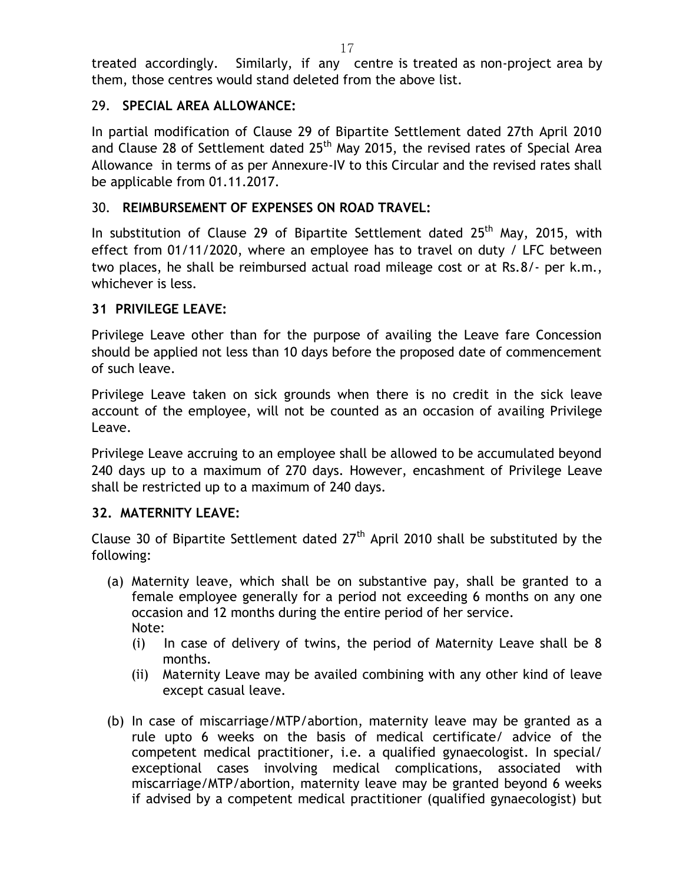treated accordingly. Similarly, if any centre is treated as non-project area by them, those centres would stand deleted from the above list.

# 29. **SPECIAL AREA ALLOWANCE:**

In partial modification of Clause 29 of Bipartite Settlement dated 27th April 2010 and Clause 28 of Settlement dated  $25<sup>th</sup>$  May 2015, the revised rates of Special Area Allowance in terms of as per Annexure-IV to this Circular and the revised rates shall be applicable from 01.11.2017.

# 30. **REIMBURSEMENT OF EXPENSES ON ROAD TRAVEL:**

In substitution of Clause 29 of Bipartite Settlement dated 25<sup>th</sup> Mav. 2015. with effect from 01/11/2020, where an employee has to travel on duty / LFC between two places, he shall be reimbursed actual road mileage cost or at Rs.8/- per k.m., whichever is less.

# **31 PRIVILEGE LEAVE:**

Privilege Leave other than for the purpose of availing the Leave fare Concession should be applied not less than 10 days before the proposed date of commencement of such leave.

Privilege Leave taken on sick grounds when there is no credit in the sick leave account of the employee, will not be counted as an occasion of availing Privilege Leave.

Privilege Leave accruing to an employee shall be allowed to be accumulated beyond 240 days up to a maximum of 270 days. However, encashment of Privilege Leave shall be restricted up to a maximum of 240 days.

# **32. MATERNITY LEAVE:**

Clause 30 of Bipartite Settlement dated  $27<sup>th</sup>$  April 2010 shall be substituted by the following:

- (a) Maternity leave, which shall be on substantive pay, shall be granted to a female employee generally for a period not exceeding 6 months on any one occasion and 12 months during the entire period of her service. Note:
	- (i) In case of delivery of twins, the period of Maternity Leave shall be 8 months.
	- (ii) Maternity Leave may be availed combining with any other kind of leave except casual leave.
- (b) In case of miscarriage/MTP/abortion, maternity leave may be granted as a rule upto 6 weeks on the basis of medical certificate/ advice of the competent medical practitioner, i.e. a qualified gynaecologist. In special/ exceptional cases involving medical complications, associated with miscarriage/MTP/abortion, maternity leave may be granted beyond 6 weeks if advised by a competent medical practitioner (qualified gynaecologist) but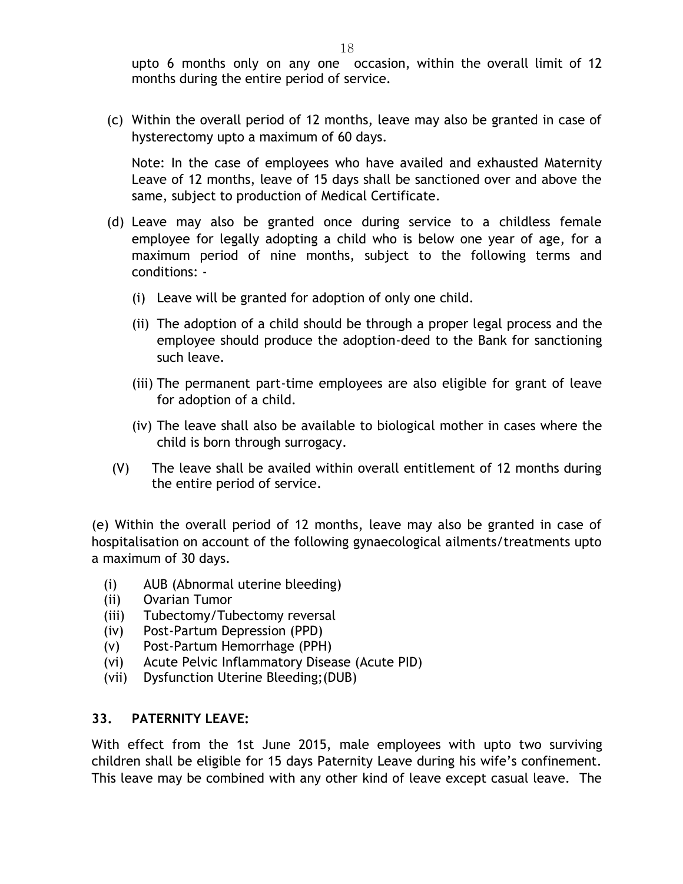upto 6 months only on any one occasion, within the overall limit of 12 months during the entire period of service.

(c) Within the overall period of 12 months, leave may also be granted in case of hysterectomy upto a maximum of 60 days.

Note: In the case of employees who have availed and exhausted Maternity Leave of 12 months, leave of 15 days shall be sanctioned over and above the same, subject to production of Medical Certificate.

- (d) Leave may also be granted once during service to a childless female employee for legally adopting a child who is below one year of age, for a maximum period of nine months, subject to the following terms and conditions: -
	- (i) Leave will be granted for adoption of only one child.
	- (ii) The adoption of a child should be through a proper legal process and the employee should produce the adoption-deed to the Bank for sanctioning such leave.
	- (iii) The permanent part-time employees are also eligible for grant of leave for adoption of a child.
	- (iv) The leave shall also be available to biological mother in cases where the child is born through surrogacy.
- (V) The leave shall be availed within overall entitlement of 12 months during the entire period of service.

(e) Within the overall period of 12 months, leave may also be granted in case of hospitalisation on account of the following gynaecological ailments/treatments upto a maximum of 30 days.

- (i) AUB (Abnormal uterine bleeding)
- (ii) Ovarian Tumor
- (iii) Tubectomy/Tubectomy reversal
- (iv) Post-Partum Depression (PPD)
- (v) Post-Partum Hemorrhage (PPH)
- (vi) Acute Pelvic Inflammatory Disease (Acute PID)
- (vii) Dysfunction Uterine Bleeding;(DUB)

#### **33. PATERNITY LEAVE:**

With effect from the 1st June 2015, male employees with upto two surviving children shall be eligible for 15 days Paternity Leave during his wife's confinement. This leave may be combined with any other kind of leave except casual leave. The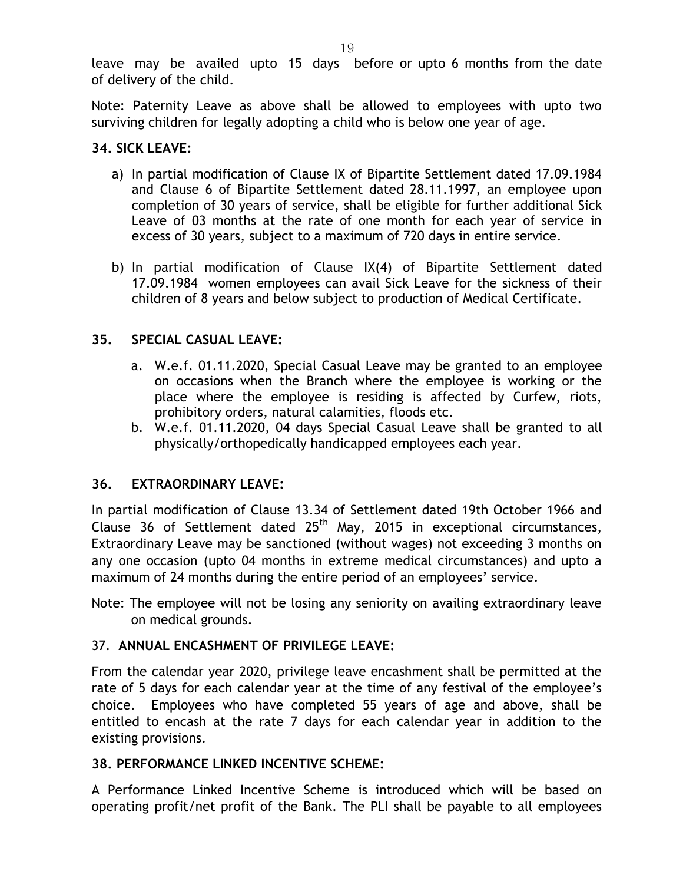leave may be availed upto 15 days before or upto 6 months from the date of delivery of the child.

Note: Paternity Leave as above shall be allowed to employees with upto two surviving children for legally adopting a child who is below one year of age.

## **34. SICK LEAVE:**

- a) In partial modification of Clause IX of Bipartite Settlement dated 17.09.1984 and Clause 6 of Bipartite Settlement dated 28.11.1997, an employee upon completion of 30 years of service, shall be eligible for further additional Sick Leave of 03 months at the rate of one month for each year of service in excess of 30 years, subject to a maximum of 720 days in entire service.
- b) In partial modification of Clause IX(4) of Bipartite Settlement dated 17.09.1984 women employees can avail Sick Leave for the sickness of their children of 8 years and below subject to production of Medical Certificate.

## **35. SPECIAL CASUAL LEAVE:**

- a. W.e.f. 01.11.2020, Special Casual Leave may be granted to an employee on occasions when the Branch where the employee is working or the place where the employee is residing is affected by Curfew, riots, prohibitory orders, natural calamities, floods etc.
- b. W.e.f. 01.11.2020, 04 days Special Casual Leave shall be granted to all physically/orthopedically handicapped employees each year.

#### **36. EXTRAORDINARY LEAVE:**

In partial modification of Clause 13.34 of Settlement dated 19th October 1966 and Clause 36 of Settlement dated  $25<sup>th</sup>$  May, 2015 in exceptional circumstances, Extraordinary Leave may be sanctioned (without wages) not exceeding 3 months on any one occasion (upto 04 months in extreme medical circumstances) and upto a maximum of 24 months during the entire period of an employees' service.

Note: The employee will not be losing any seniority on availing extraordinary leave on medical grounds.

#### 37. **ANNUAL ENCASHMENT OF PRIVILEGE LEAVE:**

From the calendar year 2020, privilege leave encashment shall be permitted at the rate of 5 days for each calendar year at the time of any festival of the employee's choice. Employees who have completed 55 years of age and above, shall be entitled to encash at the rate 7 days for each calendar year in addition to the existing provisions.

#### **38. PERFORMANCE LINKED INCENTIVE SCHEME:**

A Performance Linked Incentive Scheme is introduced which will be based on operating profit/net profit of the Bank. The PLI shall be payable to all employees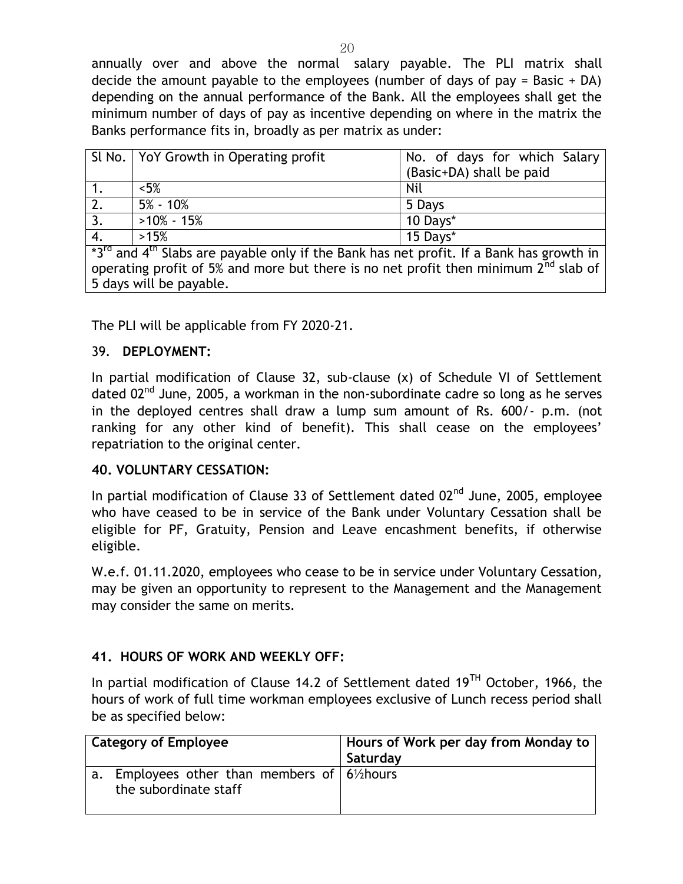annually over and above the normal salary payable. The PLI matrix shall decide the amount payable to the employees (number of days of pay = Basic + DA) depending on the annual performance of the Bank. All the employees shall get the minimum number of days of pay as incentive depending on where in the matrix the Banks performance fits in, broadly as per matrix as under:

|                                                                                                    | SI No.   YoY Growth in Operating profit | No. of days for which Salary |  |
|----------------------------------------------------------------------------------------------------|-----------------------------------------|------------------------------|--|
|                                                                                                    |                                         | (Basic+DA) shall be paid     |  |
|                                                                                                    | $< 5\%$                                 | Nil                          |  |
| $\overline{2}$ .                                                                                   | $5\%$ - 10%                             | 5 Days                       |  |
| 3.                                                                                                 | $>10\% - 15\%$                          | 10 Days*                     |  |
| $\overline{4}$ .                                                                                   | >15%                                    | 15 Days*                     |  |
| $^*3^{rd}$ and $4^{th}$ Slabs are payable only if the Bank has net profit. If a Bank has growth in |                                         |                              |  |

operating profit of 5% and more but there is no net profit then minimum  $2^{\text{nd}}$  slab of 5 days will be payable.

The PLI will be applicable from FY 2020-21.

## 39. **DEPLOYMENT:**

In partial modification of Clause 32, sub-clause (x) of Schedule VI of Settlement dated  $02^{nd}$  June, 2005, a workman in the non-subordinate cadre so long as he serves in the deployed centres shall draw a lump sum amount of Rs. 600/- p.m. (not ranking for any other kind of benefit). This shall cease on the employees' repatriation to the original center.

#### **40. VOLUNTARY CESSATION:**

In partial modification of Clause 33 of Settlement dated  $02<sup>nd</sup>$  June, 2005, employee who have ceased to be in service of the Bank under Voluntary Cessation shall be eligible for PF, Gratuity, Pension and Leave encashment benefits, if otherwise eligible.

W.e.f. 01.11.2020, employees who cease to be in service under Voluntary Cessation, may be given an opportunity to represent to the Management and the Management may consider the same on merits.

#### **41. HOURS OF WORK AND WEEKLY OFF:**

In partial modification of Clause 14.2 of Settlement dated  $19<sup>TH</sup>$  October, 1966, the hours of work of full time workman employees exclusive of Lunch recess period shall be as specified below:

| <b>Category of Employee</b>                                                                                      | Hours of Work per day from Monday to<br>Saturday |  |
|------------------------------------------------------------------------------------------------------------------|--------------------------------------------------|--|
| Employees other than members of $\frac{1}{2}$ 6 <sup>1</sup> / <sub>2</sub> hours<br>a.<br>the subordinate staff |                                                  |  |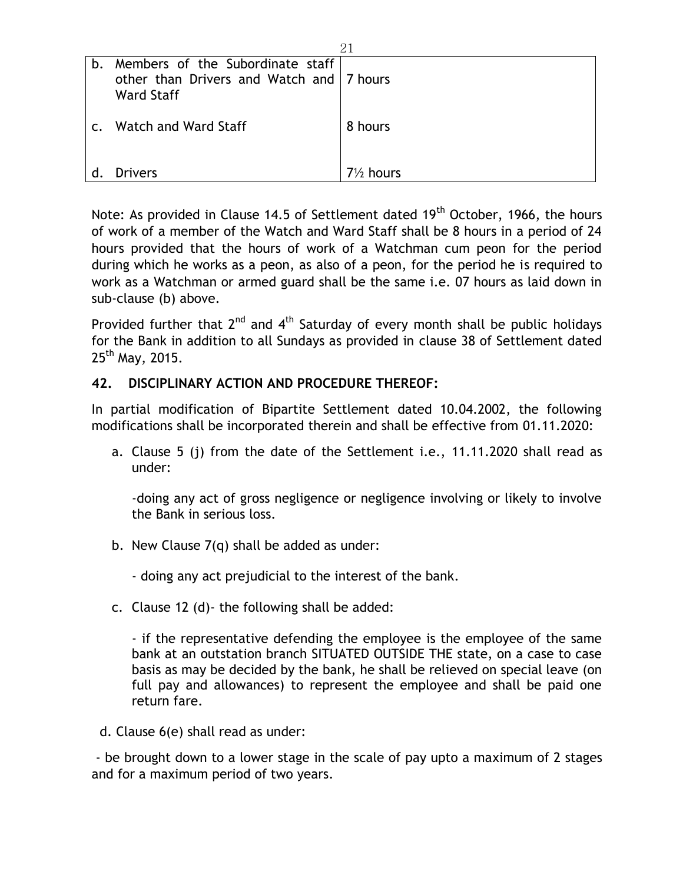| b.         | Members of the Subordinate staff<br>other than Drivers and Watch and 7 hours<br>Ward Staff |                      |
|------------|--------------------------------------------------------------------------------------------|----------------------|
| $\epsilon$ | Watch and Ward Staff                                                                       | 8 hours              |
| d.         | <b>Drivers</b>                                                                             | $7\frac{1}{2}$ hours |

Note: As provided in Clause 14.5 of Settlement dated  $19<sup>th</sup>$  October, 1966, the hours of work of a member of the Watch and Ward Staff shall be 8 hours in a period of 24 hours provided that the hours of work of a Watchman cum peon for the period during which he works as a peon, as also of a peon, for the period he is required to work as a Watchman or armed guard shall be the same i.e. 07 hours as laid down in sub-clause (b) above.

Provided further that  $2^{nd}$  and  $4^{th}$  Saturday of every month shall be public holidays for the Bank in addition to all Sundays as provided in clause 38 of Settlement dated  $25^{th}$  May, 2015.

# **42. DISCIPLINARY ACTION AND PROCEDURE THEREOF:**

In partial modification of Bipartite Settlement dated 10.04.2002, the following modifications shall be incorporated therein and shall be effective from 01.11.2020:

a. Clause 5 (j) from the date of the Settlement i.e., 11.11.2020 shall read as under:

-doing any act of gross negligence or negligence involving or likely to involve the Bank in serious loss.

b. New Clause 7(q) shall be added as under:

- doing any act prejudicial to the interest of the bank.

c. Clause 12 (d)- the following shall be added:

- if the representative defending the employee is the employee of the same bank at an outstation branch SITUATED OUTSIDE THE state, on a case to case basis as may be decided by the bank, he shall be relieved on special leave (on full pay and allowances) to represent the employee and shall be paid one return fare.

d. Clause 6(e) shall read as under:

- be brought down to a lower stage in the scale of pay upto a maximum of 2 stages and for a maximum period of two years.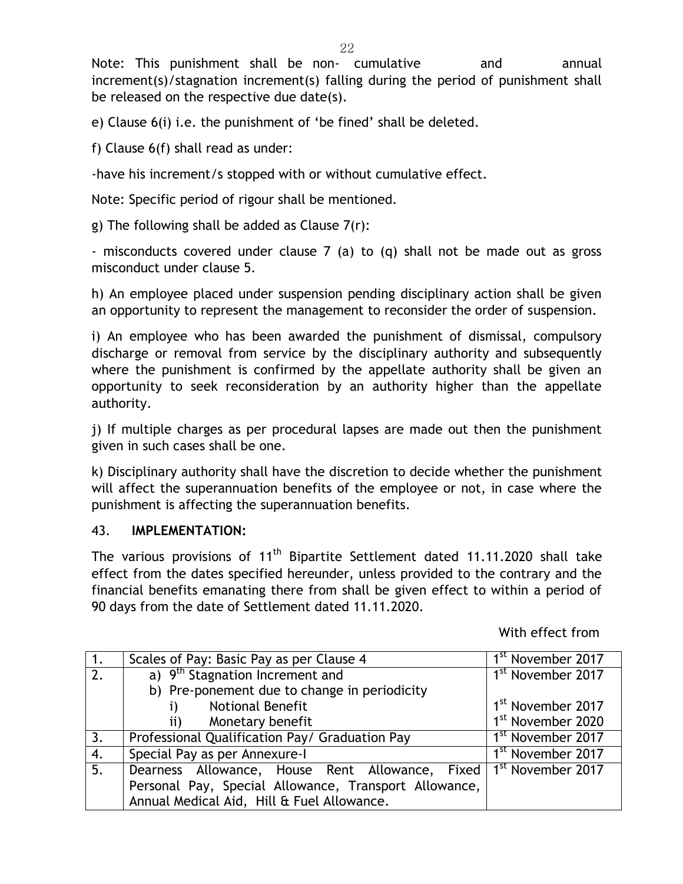Note: This punishment shall be non- cumulative and annual increment(s)/stagnation increment(s) falling during the period of punishment shall be released on the respective due date(s).

e) Clause 6(i) i.e. the punishment of 'be fined' shall be deleted.

f) Clause 6(f) shall read as under:

-have his increment/s stopped with or without cumulative effect.

Note: Specific period of rigour shall be mentioned.

g) The following shall be added as Clause  $7(r)$ :

- misconducts covered under clause 7 (a) to (q) shall not be made out as gross misconduct under clause 5.

h) An employee placed under suspension pending disciplinary action shall be given an opportunity to represent the management to reconsider the order of suspension.

i) An employee who has been awarded the punishment of dismissal, compulsory discharge or removal from service by the disciplinary authority and subsequently where the punishment is confirmed by the appellate authority shall be given an opportunity to seek reconsideration by an authority higher than the appellate authority.

j) If multiple charges as per procedural lapses are made out then the punishment given in such cases shall be one.

k) Disciplinary authority shall have the discretion to decide whether the punishment will affect the superannuation benefits of the employee or not, in case where the punishment is affecting the superannuation benefits.

#### 43. **IMPLEMENTATION:**

The various provisions of 11<sup>th</sup> Bipartite Settlement dated 11.11.2020 shall take effect from the dates specified hereunder, unless provided to the contrary and the financial benefits emanating there from shall be given effect to within a period of 90 days from the date of Settlement dated 11.11.2020.

With effect from

| 1.               | Scales of Pay: Basic Pay as per Clause 4                                        | 1 <sup>st</sup> November 2017 |
|------------------|---------------------------------------------------------------------------------|-------------------------------|
| 2.               | a) 9 <sup>th</sup> Stagnation Increment and                                     | 1 <sup>st</sup> November 2017 |
|                  | b) Pre-ponement due to change in periodicity                                    |                               |
|                  | <b>Notional Benefit</b>                                                         | 1 <sup>st</sup> November 2017 |
|                  | Monetary benefit<br>$\mathbf{ii}$                                               | 1 <sup>st</sup> November 2020 |
| $\overline{3}$ . | Professional Qualification Pay/ Graduation Pay                                  | 1 <sup>st</sup> November 2017 |
| $\overline{4}$ . | Special Pay as per Annexure-I                                                   | 1 <sup>st</sup> November 2017 |
| 5.               | Dearness Allowance, House Rent Allowance, Fixed   1 <sup>st</sup> November 2017 |                               |
|                  | Personal Pay, Special Allowance, Transport Allowance,                           |                               |
|                  | Annual Medical Aid, Hill & Fuel Allowance.                                      |                               |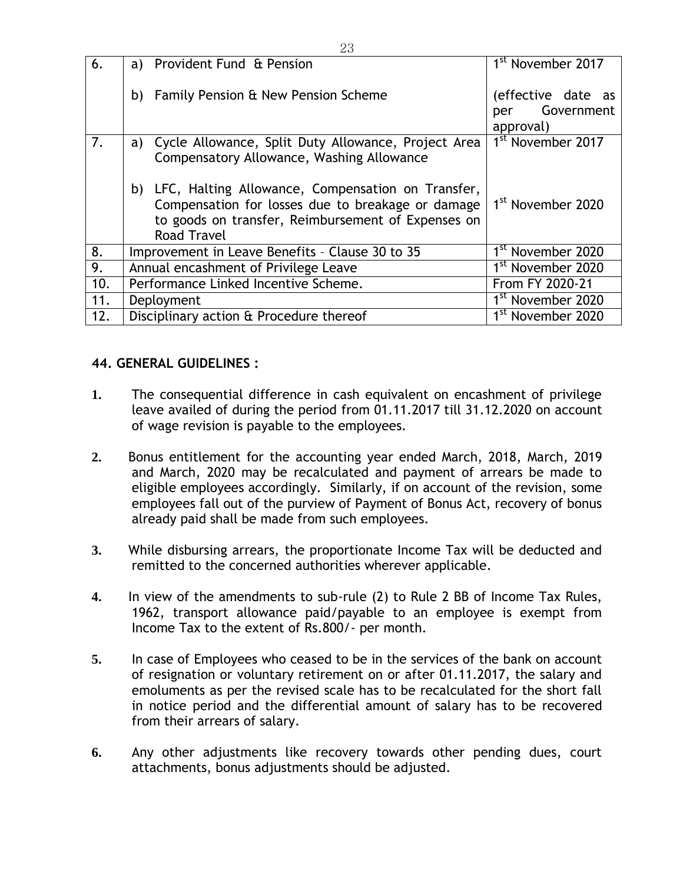| 6.  | a) Provident Fund & Pension                                                                                                                                                           | 1 <sup>st</sup> November 2017                        |
|-----|---------------------------------------------------------------------------------------------------------------------------------------------------------------------------------------|------------------------------------------------------|
|     | <b>Family Pension &amp; New Pension Scheme</b><br>b)                                                                                                                                  | (effective date as<br>Government<br>per<br>approval) |
| 7.  | Cycle Allowance, Split Duty Allowance, Project Area<br>a)<br>Compensatory Allowance, Washing Allowance                                                                                | 1 <sup>st</sup> November 2017                        |
|     | b) LFC, Halting Allowance, Compensation on Transfer,<br>Compensation for losses due to breakage or damage<br>to goods on transfer, Reimbursement of Expenses on<br><b>Road Travel</b> | 1 <sup>st</sup> November 2020                        |
| 8.  | Improvement in Leave Benefits - Clause 30 to 35                                                                                                                                       | 1 <sup>st</sup> November 2020                        |
| 9.  | Annual encashment of Privilege Leave                                                                                                                                                  | 1 <sup>st</sup> November 2020                        |
| 10. | Performance Linked Incentive Scheme.                                                                                                                                                  | From FY 2020-21                                      |
| 11. | Deployment                                                                                                                                                                            | 1 <sup>st</sup> November 2020                        |
| 12. | Disciplinary action & Procedure thereof                                                                                                                                               | 1 <sup>st</sup> November 2020                        |

# **44. GENERAL GUIDELINES :**

- **1.** The consequential difference in cash equivalent on encashment of privilege leave availed of during the period from 01.11.2017 till 31.12.2020 on account of wage revision is payable to the employees.
- **2.** Bonus entitlement for the accounting year ended March, 2018, March, 2019 and March, 2020 may be recalculated and payment of arrears be made to eligible employees accordingly. Similarly, if on account of the revision, some employees fall out of the purview of Payment of Bonus Act, recovery of bonus already paid shall be made from such employees.
- **3.** While disbursing arrears, the proportionate Income Tax will be deducted and remitted to the concerned authorities wherever applicable.
- **4.** In view of the amendments to sub-rule (2) to Rule 2 BB of Income Tax Rules, 1962, transport allowance paid/payable to an employee is exempt from Income Tax to the extent of Rs.800/- per month.
- **5.** In case of Employees who ceased to be in the services of the bank on account of resignation or voluntary retirement on or after 01.11.2017, the salary and emoluments as per the revised scale has to be recalculated for the short fall in notice period and the differential amount of salary has to be recovered from their arrears of salary.
- **6.** Any other adjustments like recovery towards other pending dues, court attachments, bonus adjustments should be adjusted.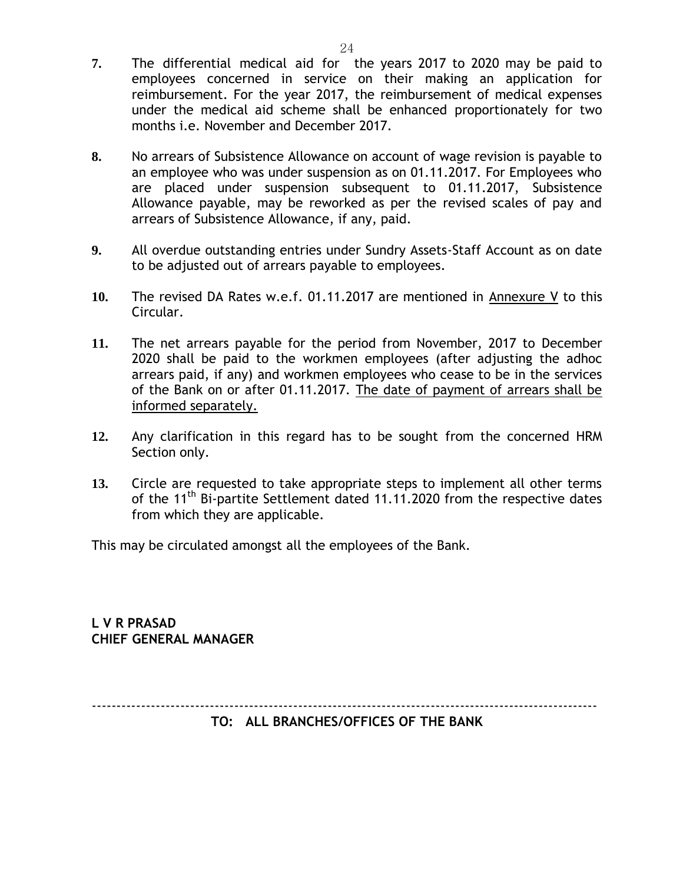- **7.** The differential medical aid for the years 2017 to 2020 may be paid to employees concerned in service on their making an application for reimbursement. For the year 2017, the reimbursement of medical expenses under the medical aid scheme shall be enhanced proportionately for two months i.e. November and December 2017.
- **8.** No arrears of Subsistence Allowance on account of wage revision is payable to an employee who was under suspension as on 01.11.2017. For Employees who are placed under suspension subsequent to 01.11.2017, Subsistence Allowance payable, may be reworked as per the revised scales of pay and arrears of Subsistence Allowance, if any, paid.
- **9.** All overdue outstanding entries under Sundry Assets-Staff Account as on date to be adjusted out of arrears payable to employees.
- **10.** The revised DA Rates w.e.f. 01.11.2017 are mentioned in Annexure V to this Circular.
- **11.** The net arrears payable for the period from November, 2017 to December 2020 shall be paid to the workmen employees (after adjusting the adhoc arrears paid, if any) and workmen employees who cease to be in the services of the Bank on or after 01.11.2017. The date of payment of arrears shall be informed separately.
- **12.** Any clarification in this regard has to be sought from the concerned HRM Section only.
- **13.** Circle are requested to take appropriate steps to implement all other terms of the 11<sup>th</sup> Bi-partite Settlement dated 11.11.2020 from the respective dates from which they are applicable.

This may be circulated amongst all the employees of the Bank.

**L V R PRASAD CHIEF GENERAL MANAGER**

------------------------------------------------------------------------------------------------------- **TO: ALL BRANCHES/OFFICES OF THE BANK**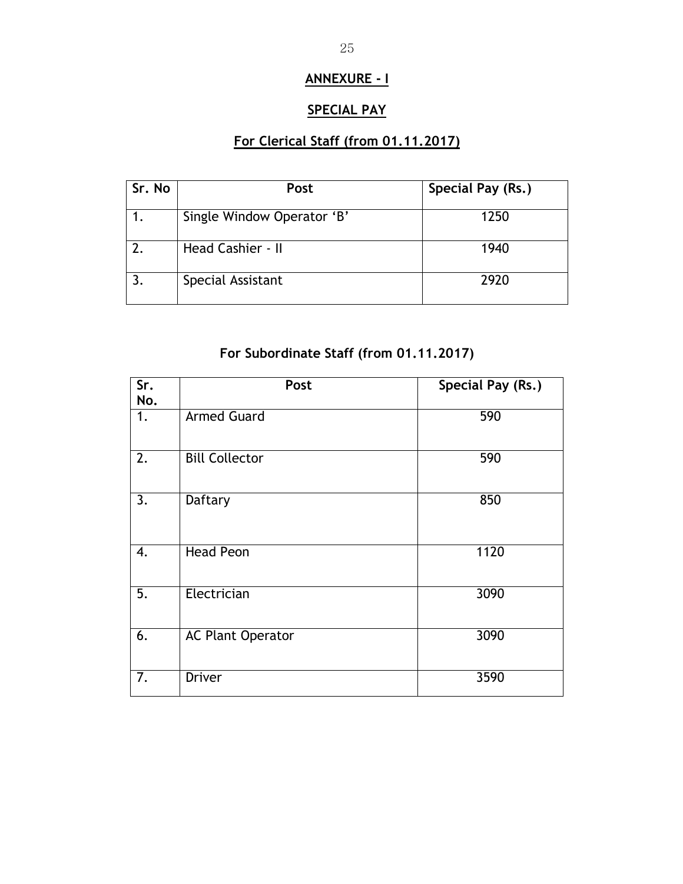# **ANNEXURE - I**

# **SPECIAL PAY**

# **For Clerical Staff (from 01.11.2017)**

| Sr. No | Post                       | Special Pay (Rs.) |
|--------|----------------------------|-------------------|
|        | Single Window Operator 'B' | 1250              |
|        | Head Cashier - II          | 1940              |
|        | Special Assistant          | 2920              |

# **For Subordinate Staff (from 01.11.2017)**

| $\overline{\text{Sr.}}$<br>No. | Post                     | <b>Special Pay (Rs.)</b> |
|--------------------------------|--------------------------|--------------------------|
| 1.                             | <b>Armed Guard</b>       | 590                      |
| $\overline{2}$ .               | <b>Bill Collector</b>    | 590                      |
| 3.                             | Daftary                  | 850                      |
| 4.                             | <b>Head Peon</b>         | 1120                     |
| 5.                             | Electrician              | 3090                     |
| 6.                             | <b>AC Plant Operator</b> | 3090                     |
| 7.                             | <b>Driver</b>            | 3590                     |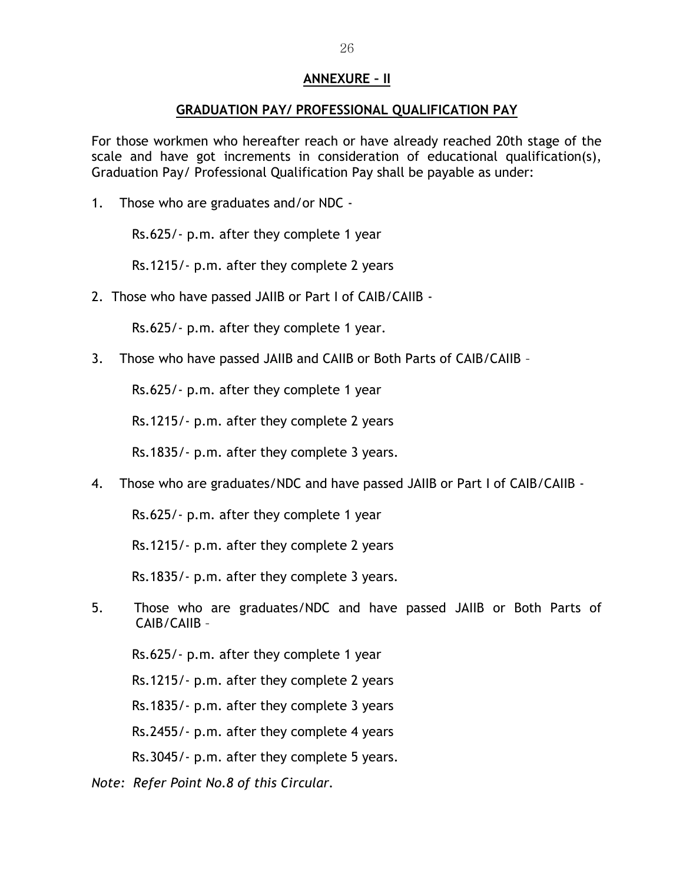#### **ANNEXURE – II**

#### **GRADUATION PAY/ PROFESSIONAL QUALIFICATION PAY**

For those workmen who hereafter reach or have already reached 20th stage of the scale and have got increments in consideration of educational qualification(s), Graduation Pay/ Professional Qualification Pay shall be payable as under:

1. Those who are graduates and/or NDC -

Rs.625/- p.m. after they complete 1 year

Rs.1215/- p.m. after they complete 2 years

2. Those who have passed JAIIB or Part I of CAIB/CAIIB -

Rs.625/- p.m. after they complete 1 year.

3. Those who have passed JAIIB and CAIIB or Both Parts of CAIB/CAIIB –

Rs.625/- p.m. after they complete 1 year

Rs.1215/- p.m. after they complete 2 years

Rs.1835/- p.m. after they complete 3 years.

4. Those who are graduates/NDC and have passed JAIIB or Part I of CAIB/CAIIB -

Rs.625/- p.m. after they complete 1 year

Rs.1215/- p.m. after they complete 2 years

Rs.1835/- p.m. after they complete 3 years.

5. Those who are graduates/NDC and have passed JAIIB or Both Parts of CAIB/CAIIB –

Rs.625/- p.m. after they complete 1 year

Rs.1215/- p.m. after they complete 2 years

Rs.1835/- p.m. after they complete 3 years

Rs.2455/- p.m. after they complete 4 years

Rs.3045/- p.m. after they complete 5 years.

*Note: Refer Point No.8 of this Circular.*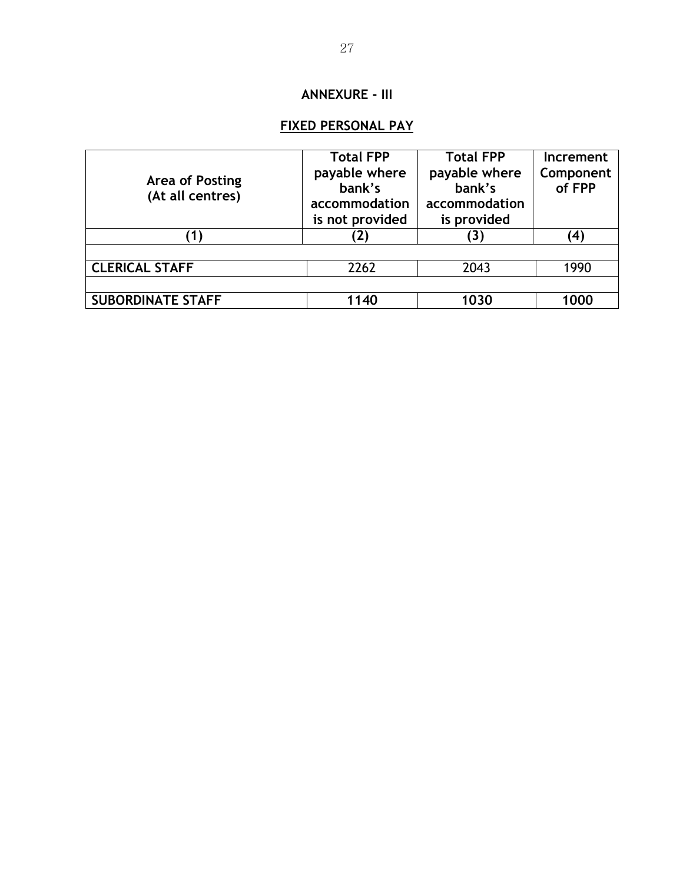# **ANNEXURE - III**

# **FIXED PERSONAL PAY**

|                          | <b>Total FPP</b> | <b>Total FPP</b> | Increment |
|--------------------------|------------------|------------------|-----------|
| Area of Posting          | payable where    | payable where    | Component |
| (At all centres)         | bank's           | bank's           | of FPP    |
|                          | accommodation    | accommodation    |           |
|                          | is not provided  | is provided      |           |
|                          | $\mathbf{[2]}$   | 3                | (4)       |
|                          |                  |                  |           |
| <b>CLERICAL STAFF</b>    | 2262             | 2043             | 1990      |
|                          |                  |                  |           |
| <b>SUBORDINATE STAFF</b> | 1140             | 1030             | 1000      |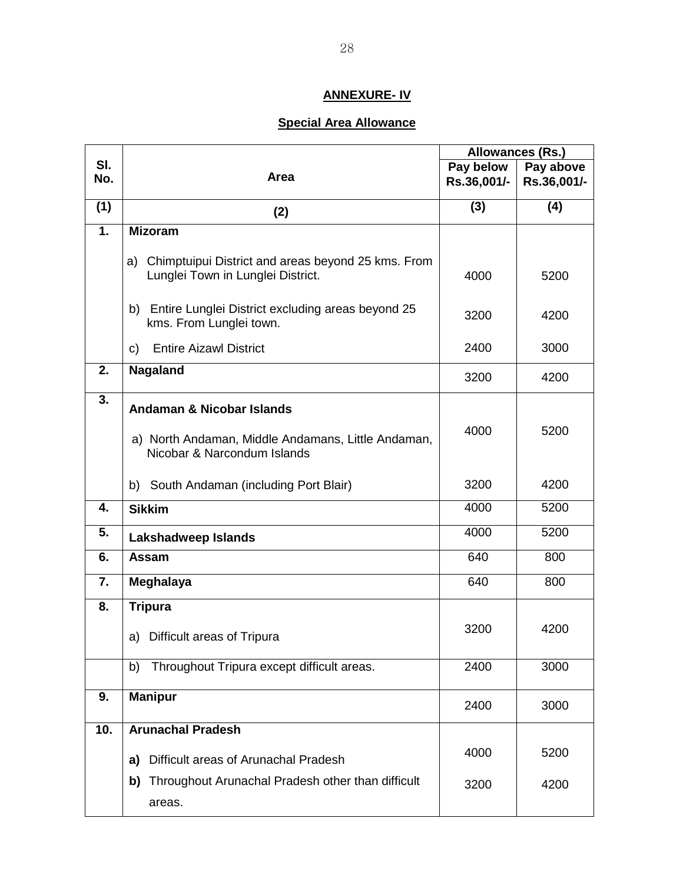# **ANNEXURE- IV**

## **Special Area Allowance**

|     |                                                                                   | Allowances (Rs.) |             |
|-----|-----------------------------------------------------------------------------------|------------------|-------------|
| SI. | Area                                                                              | Pay below        | Pay above   |
| No. |                                                                                   | Rs.36,001/-      | Rs.36,001/- |
| (1) | (2)                                                                               | (3)              | (4)         |
| 1.  | <b>Mizoram</b>                                                                    |                  |             |
|     | Chimptuipui District and areas beyond 25 kms. From<br>a)                          |                  |             |
|     | Lunglei Town in Lunglei District.                                                 | 4000             | 5200        |
|     | b) Entire Lunglei District excluding areas beyond 25<br>kms. From Lunglei town.   | 3200             | 4200        |
|     | <b>Entire Aizawl District</b><br>c)                                               | 2400             | 3000        |
| 2.  | Nagaland                                                                          | 3200             | 4200        |
| 3.  | <b>Andaman &amp; Nicobar Islands</b>                                              |                  |             |
|     | a) North Andaman, Middle Andamans, Little Andaman,<br>Nicobar & Narcondum Islands | 4000             | 5200        |
|     | b) South Andaman (including Port Blair)                                           | 3200             | 4200        |
| 4.  | <b>Sikkim</b>                                                                     | 4000             | 5200        |
| 5.  | Lakshadweep Islands                                                               | 4000             | 5200        |
| 6.  | Assam                                                                             | 640              | 800         |
| 7.  | Meghalaya                                                                         | 640              | 800         |
| 8.  | <b>Tripura</b>                                                                    |                  |             |
|     | Difficult areas of Tripura<br>a)                                                  | 3200             | 4200        |
|     | b) Throughout Tripura except difficult areas.                                     | 2400             | 3000        |
| 9.  | <b>Manipur</b>                                                                    | 2400             | 3000        |
| 10. | <b>Arunachal Pradesh</b>                                                          |                  |             |
|     | Difficult areas of Arunachal Pradesh<br>a)                                        | 4000             | 5200        |
|     | Throughout Arunachal Pradesh other than difficult<br>b)<br>areas.                 | 3200             | 4200        |
|     |                                                                                   |                  |             |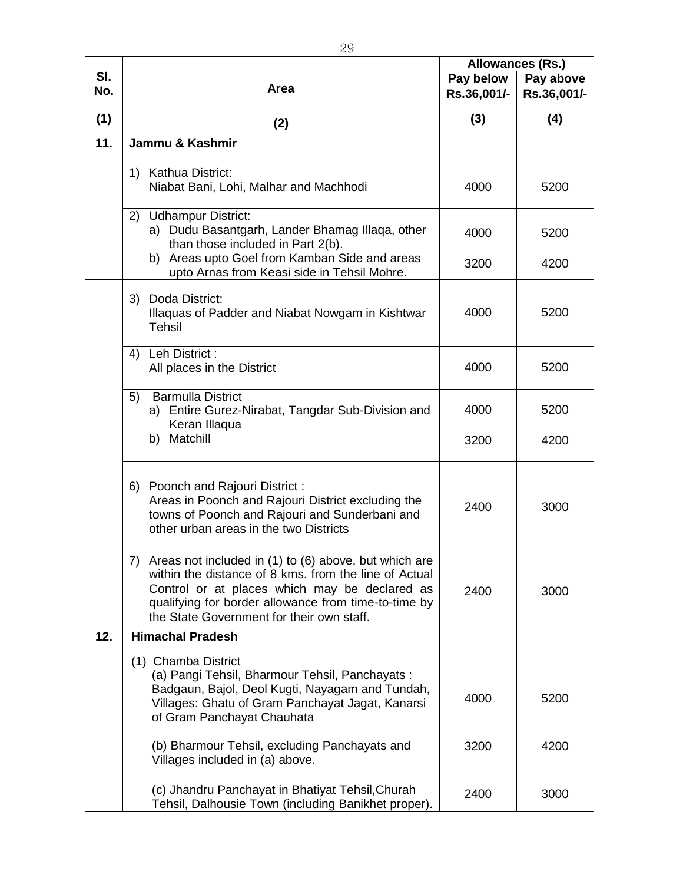|                   |                                                                                          | Allowances (Rs.) |             |
|-------------------|------------------------------------------------------------------------------------------|------------------|-------------|
| SI.               |                                                                                          | Pay below        | Pay above   |
| No.               | Area                                                                                     | Rs.36,001/-      | Rs.36,001/- |
|                   |                                                                                          |                  |             |
| (1)               | (2)                                                                                      | (3)              | (4)         |
| $\overline{11}$ . | Jammu & Kashmir                                                                          |                  |             |
|                   |                                                                                          |                  |             |
|                   | 1) Kathua District:                                                                      |                  |             |
|                   | Niabat Bani, Lohi, Malhar and Machhodi                                                   | 4000             | 5200        |
|                   | 2) Udhampur District:                                                                    |                  |             |
|                   | a) Dudu Basantgarh, Lander Bhamag Illaqa, other                                          |                  |             |
|                   | than those included in Part 2(b).                                                        | 4000             | 5200        |
|                   | b) Areas upto Goel from Kamban Side and areas                                            |                  |             |
|                   | upto Arnas from Keasi side in Tehsil Mohre.                                              | 3200             | 4200        |
|                   |                                                                                          |                  |             |
|                   | 3) Doda District:                                                                        | 4000             | 5200        |
|                   | Illaquas of Padder and Niabat Nowgam in Kishtwar<br><b>Tehsil</b>                        |                  |             |
|                   |                                                                                          |                  |             |
|                   | 4) Leh District :                                                                        |                  |             |
|                   | All places in the District                                                               | 4000             | 5200        |
|                   | <b>Barmulla District</b>                                                                 |                  |             |
|                   | 5)<br>a) Entire Gurez-Nirabat, Tangdar Sub-Division and                                  | 4000             | 5200        |
|                   | Keran Illaqua                                                                            |                  |             |
|                   | b) Matchill                                                                              | 3200             | 4200        |
|                   |                                                                                          |                  |             |
|                   |                                                                                          |                  |             |
|                   | 6) Poonch and Rajouri District :                                                         |                  |             |
|                   | Areas in Poonch and Rajouri District excluding the                                       | 2400             | 3000        |
|                   | towns of Poonch and Rajouri and Sunderbani and<br>other urban areas in the two Districts |                  |             |
|                   |                                                                                          |                  |             |
|                   | 7) Areas not included in (1) to (6) above, but which are                                 |                  |             |
|                   | within the distance of 8 kms. from the line of Actual                                    |                  |             |
|                   | Control or at places which may be declared as                                            | 2400             | 3000        |
|                   | qualifying for border allowance from time-to-time by                                     |                  |             |
|                   | the State Government for their own staff.                                                |                  |             |
| 12.               | <b>Himachal Pradesh</b>                                                                  |                  |             |
|                   | (1) Chamba District                                                                      |                  |             |
|                   | (a) Pangi Tehsil, Bharmour Tehsil, Panchayats:                                           |                  |             |
|                   | Badgaun, Bajol, Deol Kugti, Nayagam and Tundah,                                          | 4000             | 5200        |
|                   | Villages: Ghatu of Gram Panchayat Jagat, Kanarsi                                         |                  |             |
|                   | of Gram Panchayat Chauhata                                                               |                  |             |
|                   | (b) Bharmour Tehsil, excluding Panchayats and                                            | 3200             | 4200        |
|                   | Villages included in (a) above.                                                          |                  |             |
|                   |                                                                                          |                  |             |
|                   | (c) Jhandru Panchayat in Bhatiyat Tehsil, Churah                                         | 2400             | 3000        |
|                   | Tehsil, Dalhousie Town (including Banikhet proper).                                      |                  |             |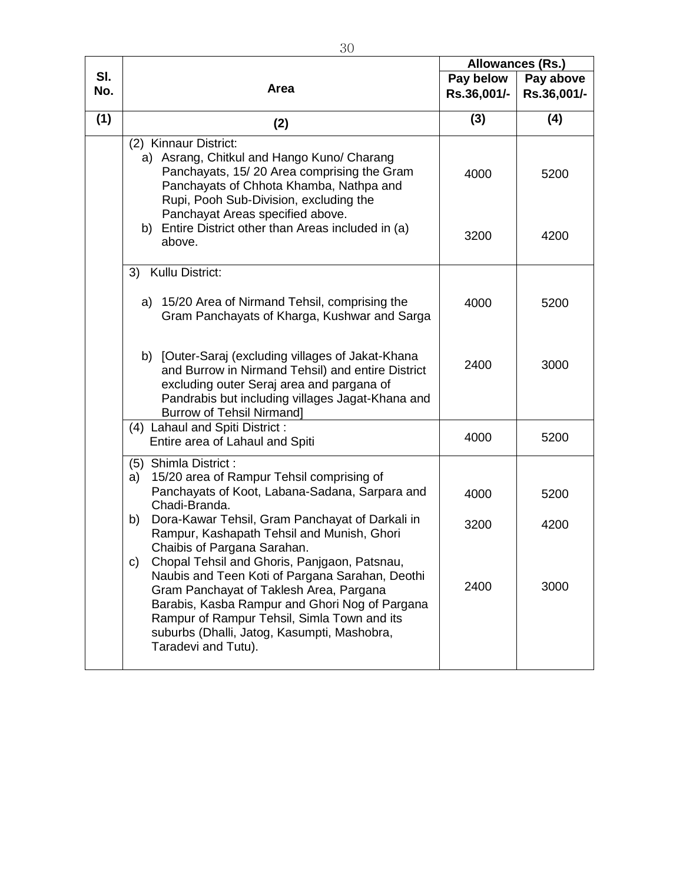|            | Area                                                                                                                                                                                                                                                                                                                    | Allowances (Rs.) |             |
|------------|-------------------------------------------------------------------------------------------------------------------------------------------------------------------------------------------------------------------------------------------------------------------------------------------------------------------------|------------------|-------------|
| SI.<br>No. |                                                                                                                                                                                                                                                                                                                         | Pay below        | Pay above   |
|            |                                                                                                                                                                                                                                                                                                                         | Rs.36,001/-      | Rs.36,001/- |
| (1)        | (2)                                                                                                                                                                                                                                                                                                                     | (3)              | (4)         |
|            | (2) Kinnaur District:<br>a) Asrang, Chitkul and Hango Kuno/ Charang<br>Panchayats, 15/20 Area comprising the Gram<br>Panchayats of Chhota Khamba, Nathpa and<br>Rupi, Pooh Sub-Division, excluding the                                                                                                                  | 4000             | 5200        |
|            | Panchayat Areas specified above.<br>b) Entire District other than Areas included in (a)<br>above.                                                                                                                                                                                                                       | 3200             | 4200        |
|            | 3) Kullu District:                                                                                                                                                                                                                                                                                                      |                  |             |
|            | a) 15/20 Area of Nirmand Tehsil, comprising the<br>Gram Panchayats of Kharga, Kushwar and Sarga                                                                                                                                                                                                                         | 4000             | 5200        |
|            | b) [Outer-Saraj (excluding villages of Jakat-Khana<br>and Burrow in Nirmand Tehsil) and entire District<br>excluding outer Seraj area and pargana of<br>Pandrabis but including villages Jagat-Khana and<br><b>Burrow of Tehsil Nirmand]</b>                                                                            | 2400             | 3000        |
|            | (4) Lahaul and Spiti District:<br>Entire area of Lahaul and Spiti                                                                                                                                                                                                                                                       | 4000             | 5200        |
|            | (5) Shimla District :<br>15/20 area of Rampur Tehsil comprising of<br>a)<br>Panchayats of Koot, Labana-Sadana, Sarpara and                                                                                                                                                                                              | 4000             | 5200        |
|            | Chadi-Branda.<br>Dora-Kawar Tehsil, Gram Panchayat of Darkali in<br>b)<br>Rampur, Kashapath Tehsil and Munish, Ghori<br>Chaibis of Pargana Sarahan.                                                                                                                                                                     | 3200             | 4200        |
|            | C)<br>Chopal Tehsil and Ghoris, Panjgaon, Patsnau,<br>Naubis and Teen Koti of Pargana Sarahan, Deothi<br>Gram Panchayat of Taklesh Area, Pargana<br>Barabis, Kasba Rampur and Ghori Nog of Pargana<br>Rampur of Rampur Tehsil, Simla Town and its<br>suburbs (Dhalli, Jatog, Kasumpti, Mashobra,<br>Taradevi and Tutu). | 2400             | 3000        |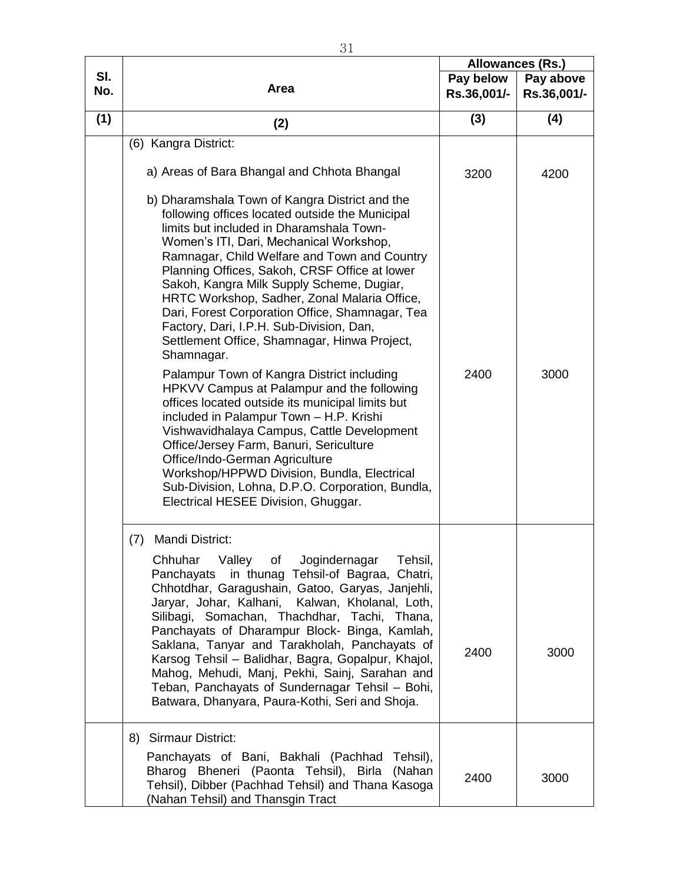|            |                                                                                                                                                                                                                                                                                                                                                                                                                                                                                                                                                                                                                                                                                                                                                                                                                                                                                                                                                                                                                     | <b>Allowances (Rs.)</b>  |                          |
|------------|---------------------------------------------------------------------------------------------------------------------------------------------------------------------------------------------------------------------------------------------------------------------------------------------------------------------------------------------------------------------------------------------------------------------------------------------------------------------------------------------------------------------------------------------------------------------------------------------------------------------------------------------------------------------------------------------------------------------------------------------------------------------------------------------------------------------------------------------------------------------------------------------------------------------------------------------------------------------------------------------------------------------|--------------------------|--------------------------|
| SI.<br>No. | Area                                                                                                                                                                                                                                                                                                                                                                                                                                                                                                                                                                                                                                                                                                                                                                                                                                                                                                                                                                                                                | Pay below<br>Rs.36,001/- | Pay above<br>Rs.36,001/- |
| (1)        | (2)                                                                                                                                                                                                                                                                                                                                                                                                                                                                                                                                                                                                                                                                                                                                                                                                                                                                                                                                                                                                                 | (3)                      | (4)                      |
|            | (6) Kangra District:                                                                                                                                                                                                                                                                                                                                                                                                                                                                                                                                                                                                                                                                                                                                                                                                                                                                                                                                                                                                |                          |                          |
|            | a) Areas of Bara Bhangal and Chhota Bhangal                                                                                                                                                                                                                                                                                                                                                                                                                                                                                                                                                                                                                                                                                                                                                                                                                                                                                                                                                                         | 3200                     | 4200                     |
|            | b) Dharamshala Town of Kangra District and the<br>following offices located outside the Municipal<br>limits but included in Dharamshala Town-<br>Women's ITI, Dari, Mechanical Workshop,<br>Ramnagar, Child Welfare and Town and Country<br>Planning Offices, Sakoh, CRSF Office at lower<br>Sakoh, Kangra Milk Supply Scheme, Dugiar,<br>HRTC Workshop, Sadher, Zonal Malaria Office,<br>Dari, Forest Corporation Office, Shamnagar, Tea<br>Factory, Dari, I.P.H. Sub-Division, Dan,<br>Settlement Office, Shamnagar, Hinwa Project,<br>Shamnagar.<br>Palampur Town of Kangra District including<br>HPKVV Campus at Palampur and the following<br>offices located outside its municipal limits but<br>included in Palampur Town - H.P. Krishi<br>Vishwavidhalaya Campus, Cattle Development<br>Office/Jersey Farm, Banuri, Sericulture<br>Office/Indo-German Agriculture<br>Workshop/HPPWD Division, Bundla, Electrical<br>Sub-Division, Lohna, D.P.O. Corporation, Bundla,<br>Electrical HESEE Division, Ghuggar. | 2400                     | 3000                     |
|            | Mandi District:<br>(7)<br>Valley of Jogindernagar Tehsil,<br>Chhuhar<br>in thunag Tehsil-of Bagraa, Chatri,<br>Panchayats<br>Chhotdhar, Garagushain, Gatoo, Garyas, Janjehli,<br>Jaryar, Johar, Kalhani,<br>Kalwan, Kholanal, Loth,<br>Silibagi, Somachan, Thachdhar, Tachi, Thana,<br>Panchayats of Dharampur Block- Binga, Kamlah,<br>Saklana, Tanyar and Tarakholah, Panchayats of<br>Karsog Tehsil - Balidhar, Bagra, Gopalpur, Khajol,<br>Mahog, Mehudi, Manj, Pekhi, Sainj, Sarahan and<br>Teban, Panchayats of Sundernagar Tehsil - Bohi,<br>Batwara, Dhanyara, Paura-Kothi, Seri and Shoja.                                                                                                                                                                                                                                                                                                                                                                                                                 | 2400                     | 3000                     |
|            | 8) Sirmaur District:<br>Panchayats of Bani, Bakhali (Pachhad Tehsil),<br>Bharog Bheneri (Paonta Tehsil), Birla (Nahan<br>Tehsil), Dibber (Pachhad Tehsil) and Thana Kasoga<br>(Nahan Tehsil) and Thansgin Tract                                                                                                                                                                                                                                                                                                                                                                                                                                                                                                                                                                                                                                                                                                                                                                                                     | 2400                     | 3000                     |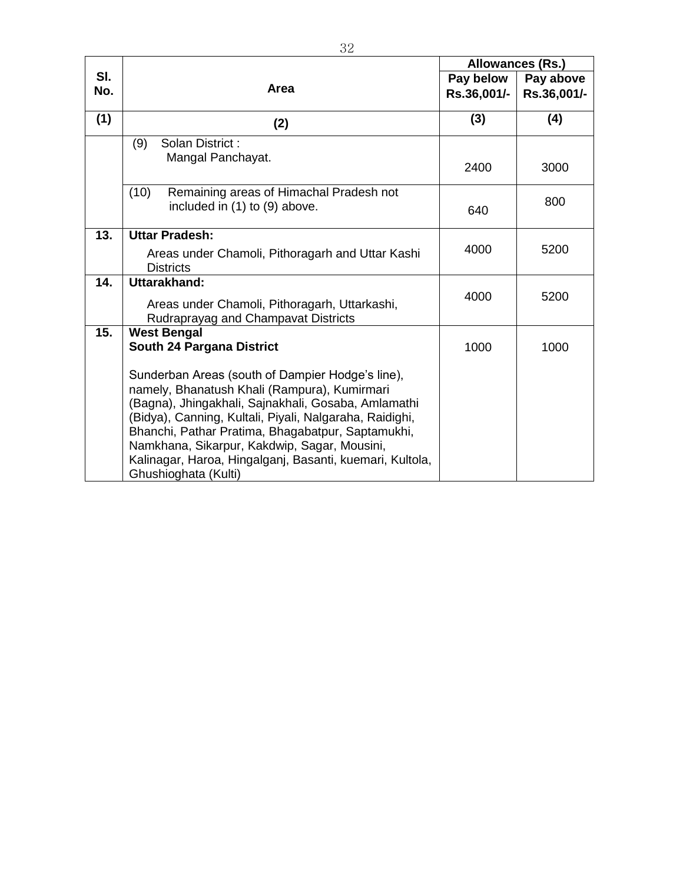|            | Area                                                                                                                                                                                                                                                                                                                                                                                                        | Allowances (Rs.) |             |
|------------|-------------------------------------------------------------------------------------------------------------------------------------------------------------------------------------------------------------------------------------------------------------------------------------------------------------------------------------------------------------------------------------------------------------|------------------|-------------|
| SI.<br>No. |                                                                                                                                                                                                                                                                                                                                                                                                             | Pay below        | Pay above   |
|            |                                                                                                                                                                                                                                                                                                                                                                                                             | Rs.36,001/-      | Rs.36,001/- |
| (1)        | (2)                                                                                                                                                                                                                                                                                                                                                                                                         | (3)              | (4)         |
|            | (9)<br>Solan District:                                                                                                                                                                                                                                                                                                                                                                                      |                  |             |
|            | Mangal Panchayat.                                                                                                                                                                                                                                                                                                                                                                                           | 2400             | 3000        |
|            | (10)<br>Remaining areas of Himachal Pradesh not                                                                                                                                                                                                                                                                                                                                                             |                  |             |
|            | included in (1) to (9) above.                                                                                                                                                                                                                                                                                                                                                                               | 640              | 800         |
| 13.        | <b>Uttar Pradesh:</b>                                                                                                                                                                                                                                                                                                                                                                                       |                  |             |
|            | Areas under Chamoli, Pithoragarh and Uttar Kashi<br><b>Districts</b>                                                                                                                                                                                                                                                                                                                                        | 4000             | 5200        |
| 14.        | Uttarakhand:                                                                                                                                                                                                                                                                                                                                                                                                |                  |             |
|            | Areas under Chamoli, Pithoragarh, Uttarkashi,<br>Rudraprayag and Champavat Districts                                                                                                                                                                                                                                                                                                                        | 4000             | 5200        |
| 15.        | <b>West Bengal</b>                                                                                                                                                                                                                                                                                                                                                                                          |                  |             |
|            | South 24 Pargana District                                                                                                                                                                                                                                                                                                                                                                                   | 1000             | 1000        |
|            | Sunderban Areas (south of Dampier Hodge's line),<br>namely, Bhanatush Khali (Rampura), Kumirmari<br>(Bagna), Jhingakhali, Sajnakhali, Gosaba, Amlamathi<br>(Bidya), Canning, Kultali, Piyali, Nalgaraha, Raidighi,<br>Bhanchi, Pathar Pratima, Bhagabatpur, Saptamukhi,<br>Namkhana, Sikarpur, Kakdwip, Sagar, Mousini,<br>Kalinagar, Haroa, Hingalganj, Basanti, kuemari, Kultola,<br>Ghushioghata (Kulti) |                  |             |